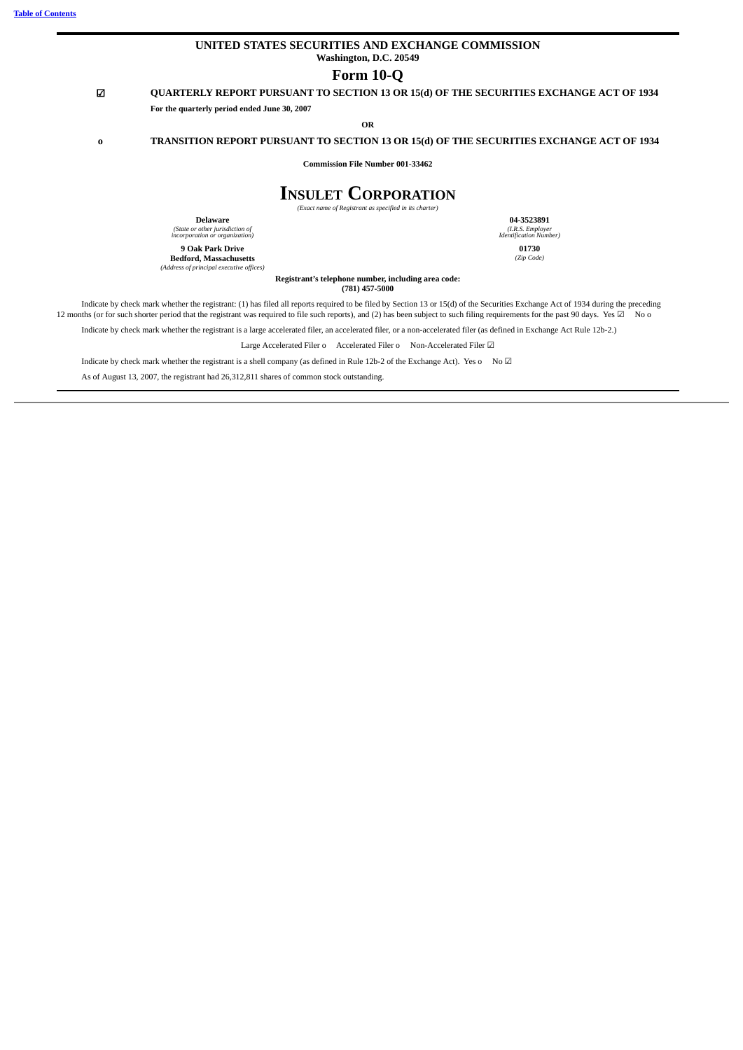# **UNITED STATES SECURITIES AND EXCHANGE COMMISSION Washington, D.C. 20549**

# **Form 10-Q**

# ☑ **QUARTERLY REPORT PURSUANT TO SECTION 13 OR 15(d) OF THE SECURITIES EXCHANGE ACT OF 1934**

**OR**

# **o TRANSITION REPORT PURSUANT TO SECTION 13 OR 15(d) OF THE SECURITIES EXCHANGE ACT OF 1934**

**Commission File Number 001-33462**

# **INSULET CORPORATION**

*(Exact name of Registrant as specified in its charter)*

**Delaware**

**For the quarterly period ended June 30, 2007**

*(State or other jurisdiction of incorporation or organization)* **9 Oak Park Drive**

**Bedford, Massachusetts** *(Address of principal executive offices)*

**01730** *(Zip Code)*

**Registrant's telephone number, including area code: (781) 457-5000**

Indicate by check mark whether the registrant: (1) has filed all reports required to be filed by Section 13 or 15(d) of the Securities Exchange Act of 1934 during the preceding 12 months (or for such shorter period that the registrant was required to file such reports), and (2) has been subject to such filing requirements for the past 90 days. Yes ⊠ No o

Indicate by check mark whether the registrant is a large accelerated filer, an accelerated filer, or a non-accelerated filer (as defined in Exchange Act Rule 12b-2.)

Large Accelerated Filer o Accelerated Filer o Non-Accelerated Filer **☑** 

Indicate by check mark whether the registrant is a shell company (as defined in Rule 12b-2 of the Exchange Act). Yes o No ☑

As of August 13, 2007, the registrant had 26,312,811 shares of common stock outstanding.

**04-3523891** *(I.R.S. Employer Identification Number)*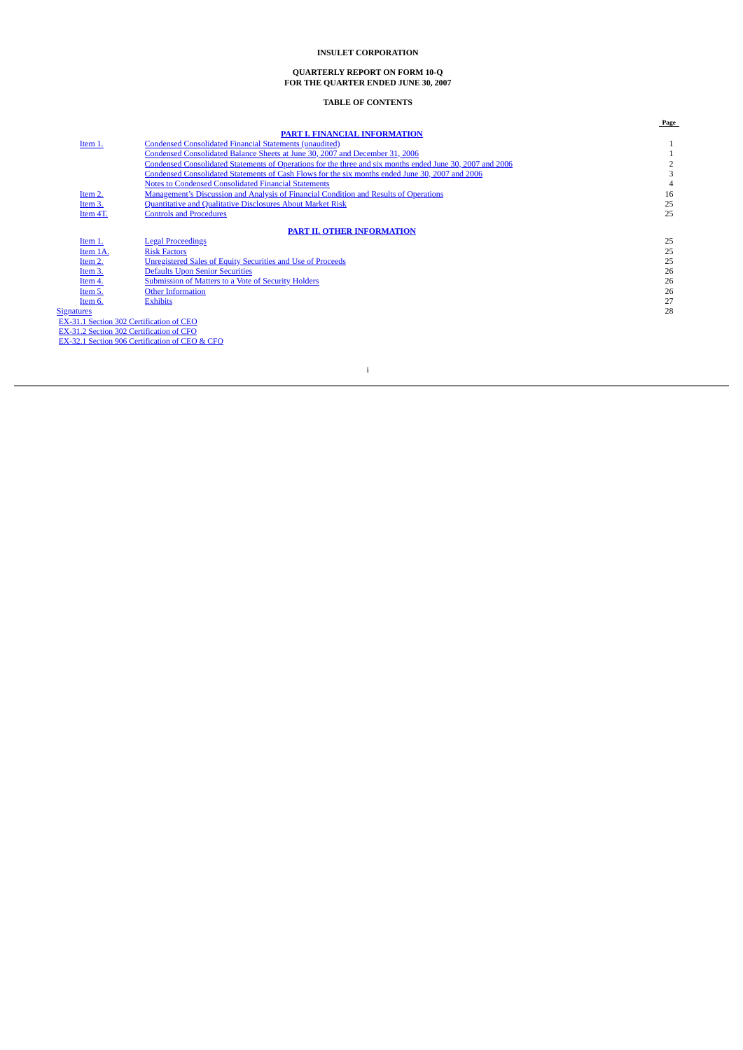#### **QUARTERLY REPORT ON FORM 10-Q FOR THE QUARTER ENDED JUNE 30, 2007**

# **TABLE OF CONTENTS**

<span id="page-2-0"></span>

|                   |                                                                                                           | Page |
|-------------------|-----------------------------------------------------------------------------------------------------------|------|
|                   | PART I. FINANCIAL INFORMATION                                                                             |      |
| Item 1.           | <b>Condensed Consolidated Financial Statements (unaudited)</b>                                            |      |
|                   | Condensed Consolidated Balance Sheets at June 30, 2007 and December 31, 2006                              |      |
|                   | Condensed Consolidated Statements of Operations for the three and six months ended June 30, 2007 and 2006 |      |
|                   | Condensed Consolidated Statements of Cash Flows for the six months ended June 30, 2007 and 2006           |      |
|                   | <b>Notes to Condensed Consolidated Financial Statements</b>                                               |      |
| Item 2.           | Management's Discussion and Analysis of Financial Condition and Results of Operations                     | 16   |
| Item 3.           | Quantitative and Qualitative Disclosures About Market Risk                                                | 25   |
| Item 4T.          | <b>Controls and Procedures</b>                                                                            | 25   |
|                   | <b>PART II. OTHER INFORMATION</b>                                                                         |      |
| Item 1.           | <b>Legal Proceedings</b>                                                                                  | 25   |
| Item 1A.          | <b>Risk Factors</b>                                                                                       | 25   |
| Item 2.           | <b>Unregistered Sales of Equity Securities and Use of Proceeds</b>                                        | 25   |
| Item 3.           | <b>Defaults Upon Senior Securities</b>                                                                    | 26   |
| Item 4.           | Submission of Matters to a Vote of Security Holders                                                       | 26   |
| Item 5.           | <b>Other Information</b>                                                                                  | 26   |
| Item 6.           | <b>Exhibits</b>                                                                                           | 27   |
| <b>Signatures</b> |                                                                                                           | 28   |
|                   | EX-31.1 Section 302 Certification of CEO                                                                  |      |
|                   | EX-31.2 Section 302 Certification of CFO                                                                  |      |
|                   | EX-32.1 Section 906 Certification of CEO & CFO                                                            |      |
|                   |                                                                                                           |      |

i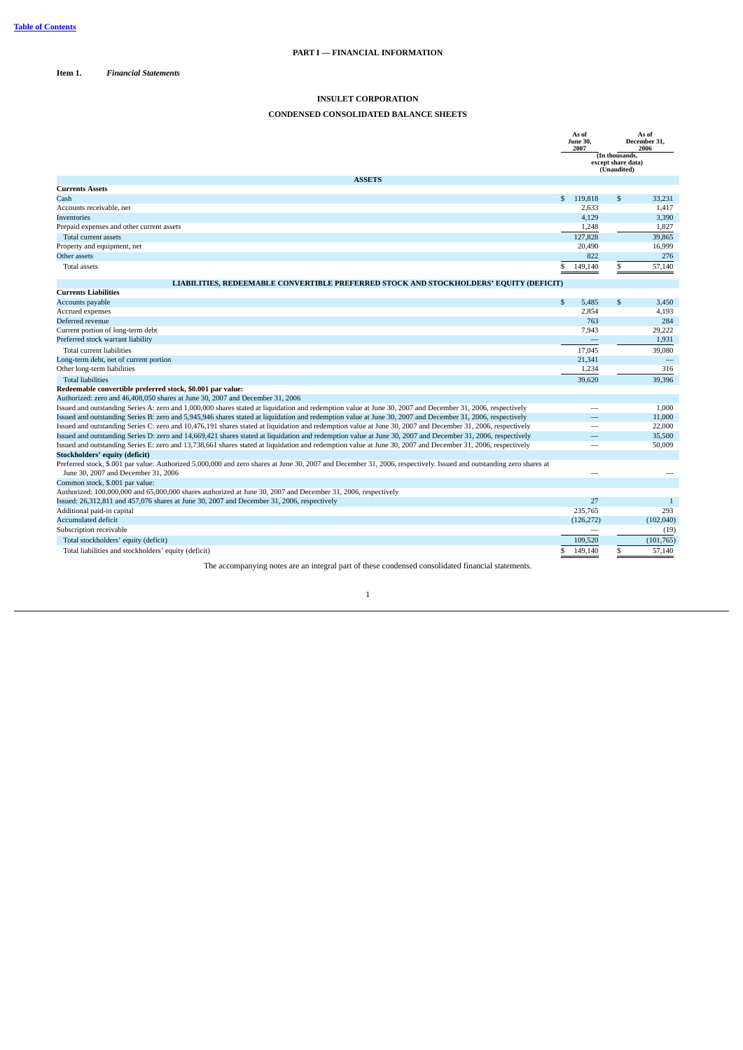<span id="page-3-1"></span><span id="page-3-0"></span>**Item 1.** *Financial Statements*

# **INSULET CORPORATION**

# <span id="page-3-2"></span>**CONDENSED CONSOLIDATED BALANCE SHEETS**

|                                                                                                                                                                                                            | As of<br><b>June 30.</b><br>2007 |                 |                                                     | As of<br>December 31,<br>2006 |
|------------------------------------------------------------------------------------------------------------------------------------------------------------------------------------------------------------|----------------------------------|-----------------|-----------------------------------------------------|-------------------------------|
|                                                                                                                                                                                                            |                                  |                 | (In thousands,<br>except share data)<br>(Unaudited) |                               |
| <b>ASSETS</b>                                                                                                                                                                                              |                                  |                 |                                                     |                               |
| <b>Currents Assets</b>                                                                                                                                                                                     |                                  |                 |                                                     |                               |
| Cash                                                                                                                                                                                                       |                                  | \$ 119,818      | \$                                                  | 33,231                        |
| Accounts receivable, net                                                                                                                                                                                   |                                  | 2.633           |                                                     | 1.417                         |
| Inventories                                                                                                                                                                                                |                                  | 4.129           |                                                     | 3,390                         |
| Prepaid expenses and other current assets                                                                                                                                                                  |                                  | 1,248           |                                                     | 1,827                         |
| Total current assets                                                                                                                                                                                       |                                  | 127,828         |                                                     | 39,865                        |
| Property and equipment, net                                                                                                                                                                                |                                  | 20,490          |                                                     | 16,999                        |
| Other assets                                                                                                                                                                                               |                                  | 822             |                                                     | 276                           |
| <b>Total assets</b>                                                                                                                                                                                        | S                                | 149,140         | \$                                                  | 57,140                        |
| LIABILITIES, REDEEMABLE CONVERTIBLE PREFERRED STOCK AND STOCKHOLDERS' EQUITY (DEFICIT)                                                                                                                     |                                  |                 |                                                     |                               |
| Currents Liabilities                                                                                                                                                                                       |                                  |                 |                                                     |                               |
| Accounts payable                                                                                                                                                                                           | $\mathbb{S}$                     | 5.485           | \$                                                  | 3,450                         |
| Accrued expenses                                                                                                                                                                                           |                                  | 2,854           |                                                     | 4,193                         |
| Deferred revenue                                                                                                                                                                                           |                                  | 763             |                                                     | 284                           |
| Current portion of long-term debt                                                                                                                                                                          |                                  | 7.943           |                                                     | 29,222                        |
| Preferred stock warrant liability                                                                                                                                                                          |                                  | $\qquad \qquad$ |                                                     | 1,931                         |
| Total current liabilities                                                                                                                                                                                  |                                  | 17.045          |                                                     | 39,080                        |
| Long-term debt, net of current portion                                                                                                                                                                     |                                  | 21,341          |                                                     |                               |
| Other long-term liabilities                                                                                                                                                                                |                                  | 1,234           |                                                     | 316                           |
| <b>Total liabilities</b>                                                                                                                                                                                   |                                  | 39,620          |                                                     | 39.396                        |
| Redeemable convertible preferred stock, \$0.001 par value:                                                                                                                                                 |                                  |                 |                                                     |                               |
| Authorized: zero and 46,408,050 shares at June 30, 2007 and December 31, 2006                                                                                                                              |                                  |                 |                                                     |                               |
| Issued and outstanding Series A: zero and 1,000,000 shares stated at liquidation and redemption value at June 30, 2007 and December 31, 2006, respectively                                                 |                                  |                 |                                                     | 1,000                         |
| Issued and outstanding Series B: zero and 5,945,946 shares stated at liquidation and redemption value at June 30, 2007 and December 31, 2006, respectively                                                 |                                  |                 |                                                     | 11,000                        |
| Issued and outstanding Series C: zero and 10,476,191 shares stated at liquidation and redemption value at June 30, 2007 and December 31, 2006, respectively                                                |                                  |                 |                                                     | 22,000                        |
| Issued and outstanding Series D: zero and 14,669,421 shares stated at liquidation and redemption value at June 30, 2007 and December 31, 2006, respectively                                                |                                  |                 |                                                     | 35,500                        |
| Issued and outstanding Series E: zero and 13,738,661 shares stated at liquidation and redemption value at June 30, 2007 and December 31, 2006, respectively                                                |                                  |                 |                                                     | 50,009                        |
| Stockholders' equity (deficit)                                                                                                                                                                             |                                  |                 |                                                     |                               |
| Preferred stock, \$.001 par value: Authorized 5,000,000 and zero shares at June 30, 2007 and December 31, 2006, respectively. Issued and outstanding zero shares at<br>June 30, 2007 and December 31, 2006 |                                  |                 |                                                     |                               |
| Common stock, \$.001 par value:                                                                                                                                                                            |                                  |                 |                                                     |                               |
| Authorized: 100,000,000 and 65,000,000 shares authorized at June 30, 2007 and December 31, 2006, respectively                                                                                              |                                  |                 |                                                     |                               |
| Issued: 26,312,811 and 457,076 shares at June 30, 2007 and December 31, 2006, respectively                                                                                                                 |                                  | 27              |                                                     | 1                             |
| Additional paid-in capital                                                                                                                                                                                 |                                  | 235.765         |                                                     | 293                           |
| <b>Accumulated deficit</b>                                                                                                                                                                                 |                                  | (126, 272)      |                                                     | (102, 040)                    |
| Subscription receivable                                                                                                                                                                                    |                                  |                 |                                                     | (19)                          |
| Total stockholders' equity (deficit)                                                                                                                                                                       |                                  | 109,520         |                                                     | (101, 765)                    |
| Total liabilities and stockholders' equity (deficit)                                                                                                                                                       | S                                | 149,140         | \$                                                  | 57,140                        |

The accompanying notes are an integral part of these condensed consolidated financial statements.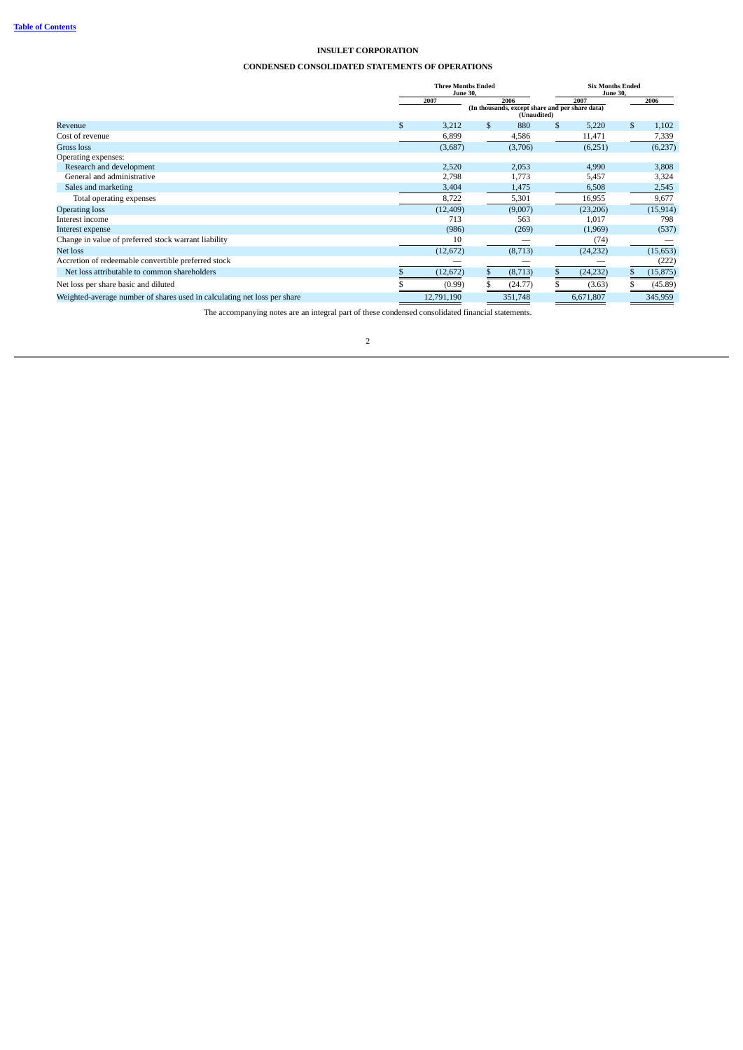# <span id="page-4-0"></span>**CONDENSED CONSOLIDATED STATEMENTS OF OPERATIONS**

|                                                                          | <b>Three Months Ended</b><br><b>June 30.</b> |     | <b>Six Months Ended</b><br><b>June 30,</b>                     |      |           |    |           |  |
|--------------------------------------------------------------------------|----------------------------------------------|-----|----------------------------------------------------------------|------|-----------|----|-----------|--|
|                                                                          | 2007                                         |     | 2006                                                           | 2007 |           |    | 2006      |  |
|                                                                          |                                              |     | (In thousands, except share and per share data)<br>(Unaudited) |      |           |    |           |  |
| Revenue                                                                  | \$<br>3,212                                  | \$. | 880                                                            | \$   | 5,220     | \$ | 1,102     |  |
| Cost of revenue                                                          | 6,899                                        |     | 4,586                                                          |      | 11,471    |    | 7,339     |  |
| Gross loss                                                               | (3,687)                                      |     | (3,706)                                                        |      | (6,251)   |    | (6,237)   |  |
| Operating expenses:                                                      |                                              |     |                                                                |      |           |    |           |  |
| Research and development                                                 | 2,520                                        |     | 2,053                                                          |      | 4,990     |    | 3,808     |  |
| General and administrative                                               | 2,798                                        |     | 1,773                                                          |      | 5,457     |    | 3,324     |  |
| Sales and marketing                                                      | 3,404                                        |     | 1,475                                                          |      | 6,508     |    | 2,545     |  |
| Total operating expenses                                                 | 8,722                                        |     | 5,301                                                          |      | 16,955    |    | 9,677     |  |
| <b>Operating loss</b>                                                    | (12, 409)                                    |     | (9,007)                                                        |      | (23, 206) |    | (15, 914) |  |
| Interest income                                                          | 713                                          |     | 563                                                            |      | 1,017     |    | 798       |  |
| Interest expense                                                         | (986)                                        |     | (269)                                                          |      | (1,969)   |    | (537)     |  |
| Change in value of preferred stock warrant liability                     | 10                                           |     |                                                                |      | (74)      |    |           |  |
| Net loss                                                                 | (12, 672)                                    |     | (8,713)                                                        |      | (24, 232) |    | (15, 653) |  |
| Accretion of redeemable convertible preferred stock                      |                                              |     |                                                                |      |           |    | (222)     |  |
| Net loss attributable to common shareholders                             | (12, 672)                                    |     | (8,713)                                                        | \$   | (24, 232) | S. | (15, 875) |  |
| Net loss per share basic and diluted                                     | (0.99)                                       |     | (24.77)                                                        |      | (3.63)    |    | (45.89)   |  |
| Weighted-average number of shares used in calculating net loss per share | 12,791,190                                   |     | 351,748                                                        |      | 6,671,807 |    | 345,959   |  |

The accompanying notes are an integral part of these condensed consolidated financial statements.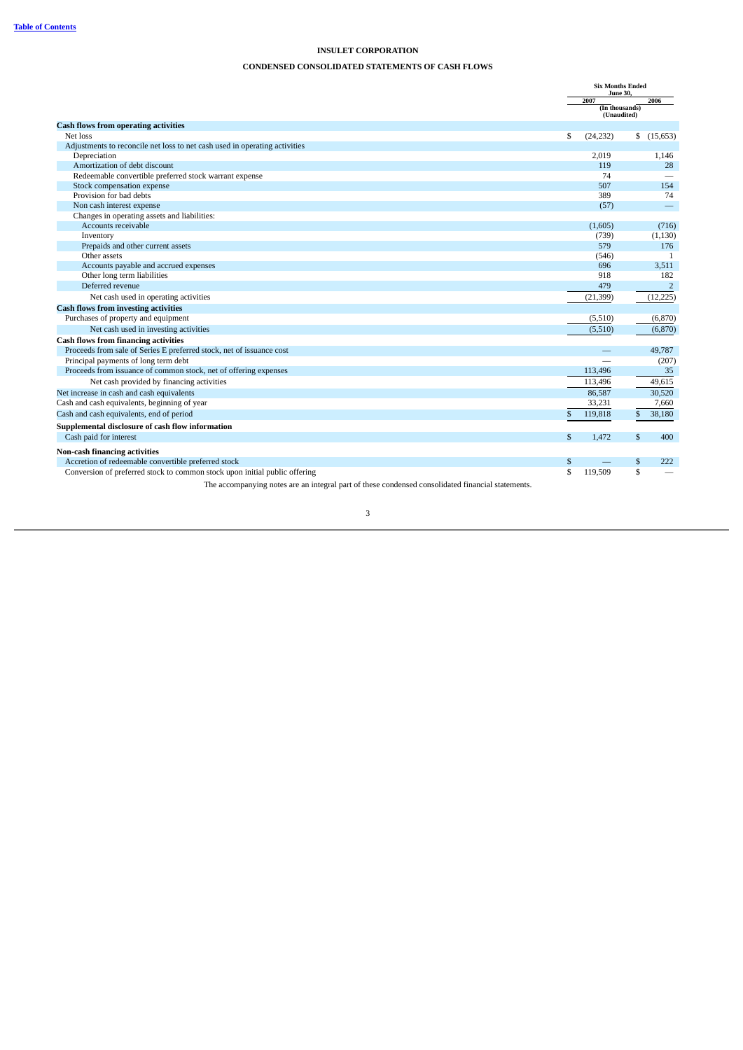# <span id="page-5-0"></span>**CONDENSED CONSOLIDATED STATEMENTS OF CASH FLOWS**

|                                                                            |    | <b>Six Months Ended</b><br><b>June 30.</b> |    |                   |
|----------------------------------------------------------------------------|----|--------------------------------------------|----|-------------------|
|                                                                            |    | 2007                                       |    | 2006              |
|                                                                            |    | (In thousands)<br>(Unaudited)              |    |                   |
| <b>Cash flows from operating activities</b>                                |    |                                            |    |                   |
| Net loss                                                                   | \$ | (24, 232)                                  | \$ | (15, 653)         |
| Adjustments to reconcile net loss to net cash used in operating activities |    |                                            |    |                   |
| Depreciation                                                               |    | 2,019                                      |    | 1,146             |
| Amortization of debt discount                                              |    | 119                                        |    | 28                |
| Redeemable convertible preferred stock warrant expense                     |    | 74                                         |    |                   |
| Stock compensation expense                                                 |    | 507                                        |    | 154               |
| Provision for bad debts                                                    |    | 389                                        |    | 74                |
| Non cash interest expense                                                  |    | (57)                                       |    | $\qquad \qquad -$ |
| Changes in operating assets and liabilities:                               |    |                                            |    |                   |
| Accounts receivable                                                        |    | (1,605)                                    |    | (716)             |
| Inventory                                                                  |    | (739)                                      |    | (1,130)           |
| Prepaids and other current assets                                          |    | 579                                        |    | 176               |
| Other assets                                                               |    | (546)                                      |    | $\overline{1}$    |
| Accounts payable and accrued expenses                                      |    | 696                                        |    | 3,511             |
| Other long term liabilities                                                |    | 918                                        |    | 182               |
| Deferred revenue                                                           |    | 479                                        |    | $\overline{2}$    |
| Net cash used in operating activities                                      |    | (21, 399)                                  |    | (12, 225)         |
| <b>Cash flows from investing activities</b>                                |    |                                            |    |                   |
| Purchases of property and equipment                                        |    | (5,510)                                    |    | (6,870)           |
| Net cash used in investing activities                                      |    | (5,510)                                    |    | (6,870)           |
| <b>Cash flows from financing activities</b>                                |    |                                            |    |                   |
| Proceeds from sale of Series E preferred stock, net of issuance cost       |    |                                            |    | 49,787            |
| Principal payments of long term debt                                       |    |                                            |    | (207)             |
| Proceeds from issuance of common stock, net of offering expenses           |    | 113,496                                    |    | 35                |
| Net cash provided by financing activities                                  |    | 113,496                                    |    | 49,615            |
| Net increase in cash and cash equivalents                                  |    | 86,587                                     |    | 30,520            |
| Cash and cash equivalents, beginning of year                               |    | 33,231                                     |    | 7,660             |
| Cash and cash equivalents, end of period                                   | \$ | 119,818                                    | \$ | 38,180            |
| Supplemental disclosure of cash flow information                           |    |                                            |    |                   |
| Cash paid for interest                                                     | \$ | 1.472                                      | \$ | 400               |
|                                                                            |    |                                            |    |                   |
| Non-cash financing activities                                              |    |                                            |    |                   |
| Accretion of redeemable convertible preferred stock                        | S  |                                            | \$ | 222               |
| Conversion of preferred stock to common stock upon initial public offering | \$ | 119,509                                    | \$ |                   |

The accompanying notes are an integral part of these condensed consolidated financial statements.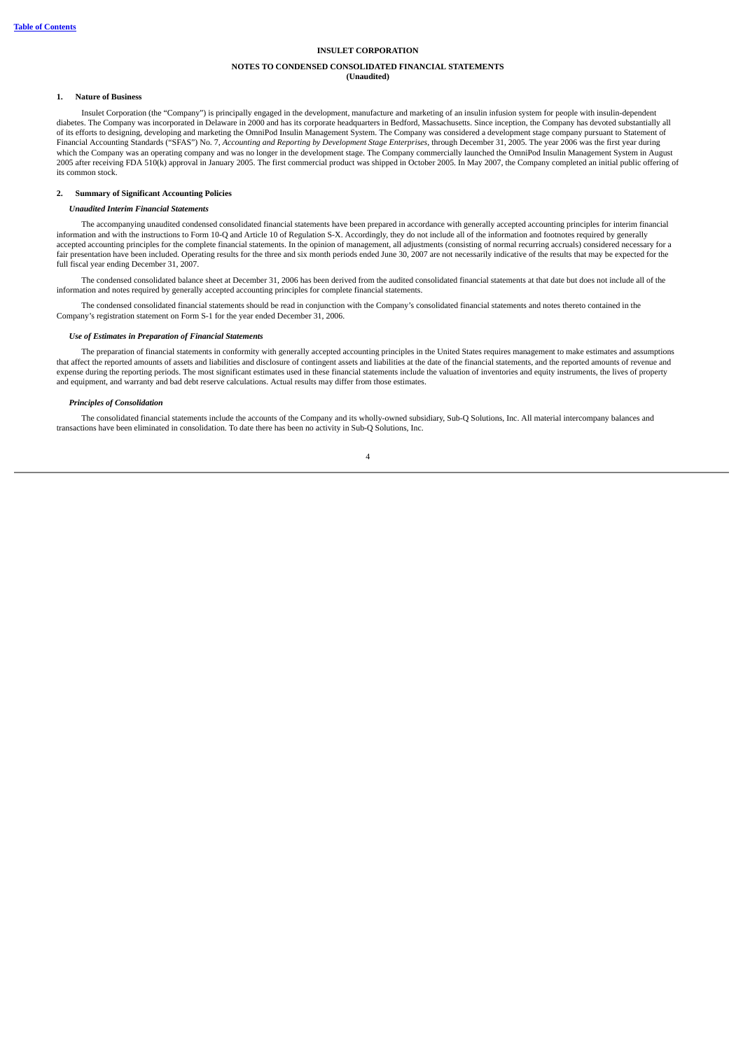#### <span id="page-6-0"></span>**NOTES TO CONDENSED CONSOLIDATED FINANCIAL STATEMENTS (Unaudited)**

#### **1. Nature of Business**

Insulet Corporation (the "Company") is principally engaged in the development, manufacture and marketing of an insulin infusion system for people with insulin-dependent diabetes. The Company was incorporated in Delaware in 2000 and has its corporate headquarters in Bedford, Massachusetts. Since inception, the Company has devoted substantially all of its efforts to designing, developing and marketing the OmniPod Insulin Management System. The Company was considered a development stage company pursuant to Statement of Financial Accounting Standards ("SFAS") No. 7, *Accounting and Reporting by Development Stage Enterprises*, through December 31, 2005. The year 2006 was the first year during which the Company was an operating company and was no longer in the development stage. The Company commercially launched the OmniPod Insulin Management System in August 2005 after receiving FDA 510(k) approval in January 2005. The first commercial product was shipped in October 2005. In May 2007, the Company completed an initial public offering of its common stock.

#### **2. Summary of Significant Accounting Policies**

## *Unaudited Interim Financial Statements*

The accompanying unaudited condensed consolidated financial statements have been prepared in accordance with generally accepted accounting principles for interim financial information and with the instructions to Form 10-Q and Article 10 of Regulation S-X. Accordingly, they do not include all of the information and footnotes required by generally accepted accounting principles for the complete financial statements. In the opinion of management, all adjustments (consisting of normal recurring accruals) considered necessary for a fair presentation have been included. Operating results for the three and six month periods ended June 30, 2007 are not necessarily indicative of the results that may be expected for the full fiscal year ending December 31, 2007.

The condensed consolidated balance sheet at December 31, 2006 has been derived from the audited consolidated financial statements at that date but does not include all of the information and notes required by generally accepted accounting principles for complete financial statements.

The condensed consolidated financial statements should be read in conjunction with the Company's consolidated financial statements and notes thereto contained in the Company's registration statement on Form S-1 for the year ended December 31, 2006.

#### *Use of Estimates in Preparation of Financial Statements*

The preparation of financial statements in conformity with generally accepted accounting principles in the United States requires management to make estimates and assumptions that affect the reported amounts of assets and liabilities and disclosure of contingent assets and liabilities at the date of the financial statements, and the reported amounts of revenue and expense during the reporting periods. The most significant estimates used in these financial statements include the valuation of inventories and equity instruments, the lives of property and equipment, and warranty and bad debt reserve calculations. Actual results may differ from those estimates.

### *Principles of Consolidation*

The consolidated financial statements include the accounts of the Company and its wholly-owned subsidiary, Sub-Q Solutions, Inc. All material intercompany balances and transactions have been eliminated in consolidation. To date there has been no activity in Sub-Q Solutions, Inc.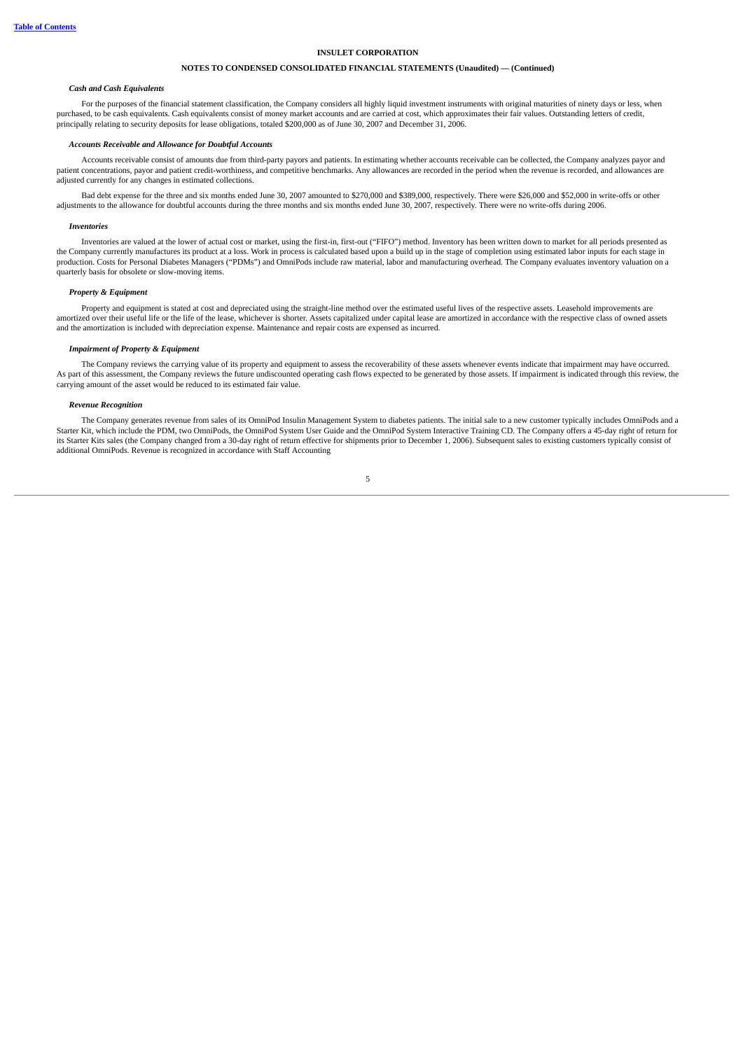# **NOTES TO CONDENSED CONSOLIDATED FINANCIAL STATEMENTS (Unaudited) — (Continued)**

#### *Cash and Cash Equivalents*

For the purposes of the financial statement classification, the Company considers all highly liquid investment instruments with original maturities of ninety days or less, when purchased, to be cash equivalents. Cash equivalents consist of money market accounts and are carried at cost, which approximates their fair values. Outstanding letters of credit, principally relating to security deposits for lease obligations, totaled \$200,000 as of June 30, 2007 and December 31, 2006.

### *Accounts Receivable and Allowance for Doubtful Accounts*

Accounts receivable consist of amounts due from third-party payors and patients. In estimating whether accounts receivable can be collected, the Company analyzes payor and patient concentrations, payor and patient credit-worthiness, and competitive benchmarks. Any allowances are recorded in the period when the revenue is recorded, and allowances are adjusted currently for any changes in estimated collections.

Bad debt expense for the three and six months ended June 30, 2007 amounted to \$270,000 and \$389,000, respectively. There were \$26,000 and \$52,000 in write-offs or other adjustments to the allowance for doubtful accounts during the three months and six months ended June 30, 2007, respectively. There were no write-offs during 2006.

#### *Inventories*

Inventories are valued at the lower of actual cost or market, using the first-in, first-out ("FIFO") method. Inventory has been written down to market for all periods presented as the Company currently manufactures its product at a loss. Work in process is calculated based upon a build up in the stage of completion using estimated labor inputs for each stage in production. Costs for Personal Diabetes Managers ("PDMs") and OmniPods include raw material, labor and manufacturing overhead. The Company evaluates inventory valuation on a quarterly basis for obsolete or slow-moving items.

#### *Property & Equipment*

Property and equipment is stated at cost and depreciated using the straight-line method over the estimated useful lives of the respective assets. Leasehold improvements are amortized over their useful life or the life of the lease, whichever is shorter. Assets capitalized under capital lease are amortized in accordance with the respective class of owned assets and the amortization is included with depreciation expense. Maintenance and repair costs are expensed as incurred.

### *Impairment of Property & Equipment*

The Company reviews the carrying value of its property and equipment to assess the recoverability of these assets whenever events indicate that impairment may have occurred. As part of this assessment, the Company reviews the future undiscounted operating cash flows expected to be generated by those assets. If impairment is indicated through this review, the carrying amount of the asset would be reduced to its estimated fair value.

#### *Revenue Recognition*

The Company generates revenue from sales of its OmniPod Insulin Management System to diabetes patients. The initial sale to a new customer typically includes OmniPods and a Starter Kit, which include the PDM, two OmniPods, the OmniPod System User Guide and the OmniPod System Interactive Training CD. The Company offers a 45-day right of return for its Starter Kits sales (the Company changed from a 30-day right of return effective for shipments prior to December 1, 2006). Subsequent sales to existing customers typically consist of additional OmniPods. Revenue is recognized in accordance with Staff Accounting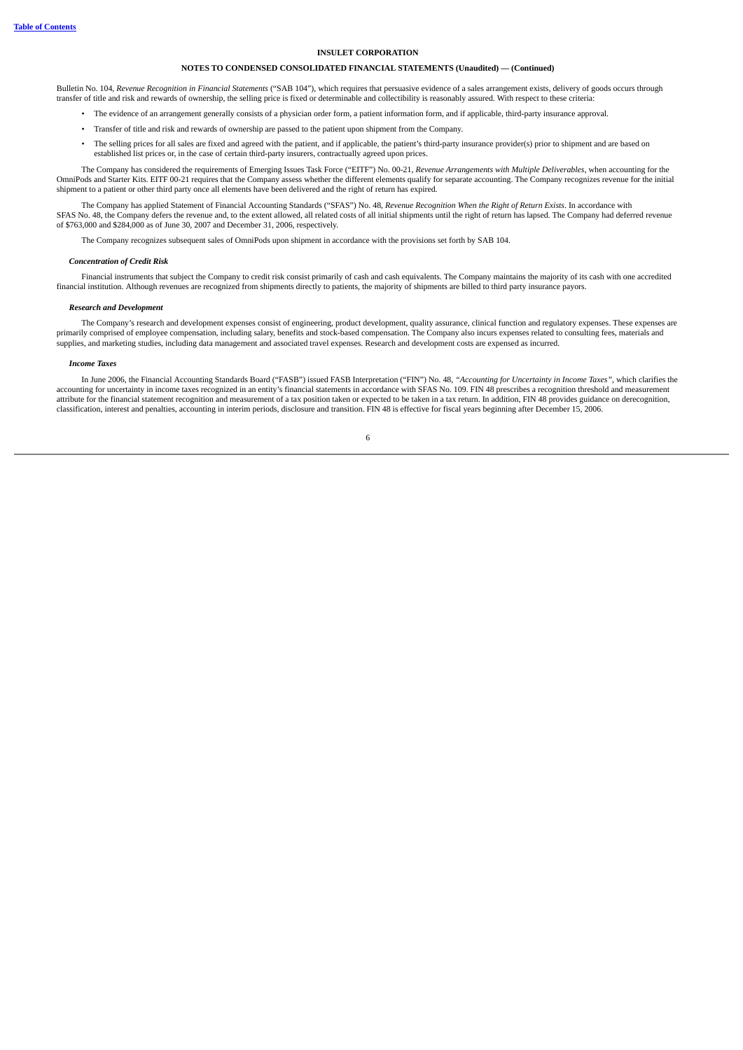### **NOTES TO CONDENSED CONSOLIDATED FINANCIAL STATEMENTS (Unaudited) — (Continued)**

Bulletin No. 104, *Revenue Recognition in Financial Statements* ("SAB 104"), which requires that persuasive evidence of a sales arrangement exists, delivery of goods occurs through transfer of title and risk and rewards of ownership, the selling price is fixed or determinable and collectibility is reasonably assured. With respect to these criteria:

- The evidence of an arrangement generally consists of a physician order form, a patient information form, and if applicable, third-party insurance approval.
- Transfer of title and risk and rewards of ownership are passed to the patient upon shipment from the Company.
- The selling prices for all sales are fixed and agreed with the patient, and if applicable, the patient's third-party insurance provider(s) prior to shipment and are based on established list prices or, in the case of certain third-party insurers, contractually agreed upon prices.

The Company has considered the requirements of Emerging Issues Task Force ("EITF") No. 00-21, *Revenue Arrangements with Multiple Deliverables*, when accounting for the OmniPods and Starter Kits. EITF 00-21 requires that the Company assess whether the different elements qualify for separate accounting. The Company recognizes revenue for the initial shipment to a patient or other third party once all elements have been delivered and the right of return has expired.

The Company has applied Statement of Financial Accounting Standards ("SFAS") No. 48, *Revenue Recognition When the Right of Return Exists*. In accordance with SFAS No. 48, the Company defers the revenue and, to the extent allowed, all related costs of all initial shipments until the right of return has lapsed. The Company had deferred revenue of \$763,000 and \$284,000 as of June 30, 2007 and December 31, 2006, respectively.

The Company recognizes subsequent sales of OmniPods upon shipment in accordance with the provisions set forth by SAB 104.

#### *Concentration of Credit Risk*

Financial instruments that subject the Company to credit risk consist primarily of cash and cash equivalents. The Company maintains the majority of its cash with one accredited financial institution. Although revenues are recognized from shipments directly to patients, the majority of shipments are billed to third party insurance payors.

#### *Research and Development*

The Company's research and development expenses consist of engineering, product development, quality assurance, clinical function and regulatory expenses. These expenses are primarily comprised of employee compensation, including salary, benefits and stock-based compensation. The Company also incurs expenses related to consulting fees, materials and supplies, and marketing studies, including data management and associated travel expenses. Research and development costs are expensed as incurred.

#### *Income Taxes*

In June 2006, the Financial Accounting Standards Board ("FASB") issued FASB Interpretation ("FIN") No. 48, *"Accounting for Uncertainty in Income Taxes"*, which clarifies the accounting for uncertainty in income taxes recognized in an entity's financial statements in accordance with SFAS No. 109. FIN 48 prescribes a recognition threshold and measurement accordance with SFAS No. 109. FIN 48 pres attribute for the financial statement recognition and measurement of a tax position taken or expected to be taken in a tax return. In addition, FIN 48 provides guidance on derecognition, classification, interest and penalties, accounting in interim periods, disclosure and transition. FIN 48 is effective for fiscal years beginning after December 15, 2006.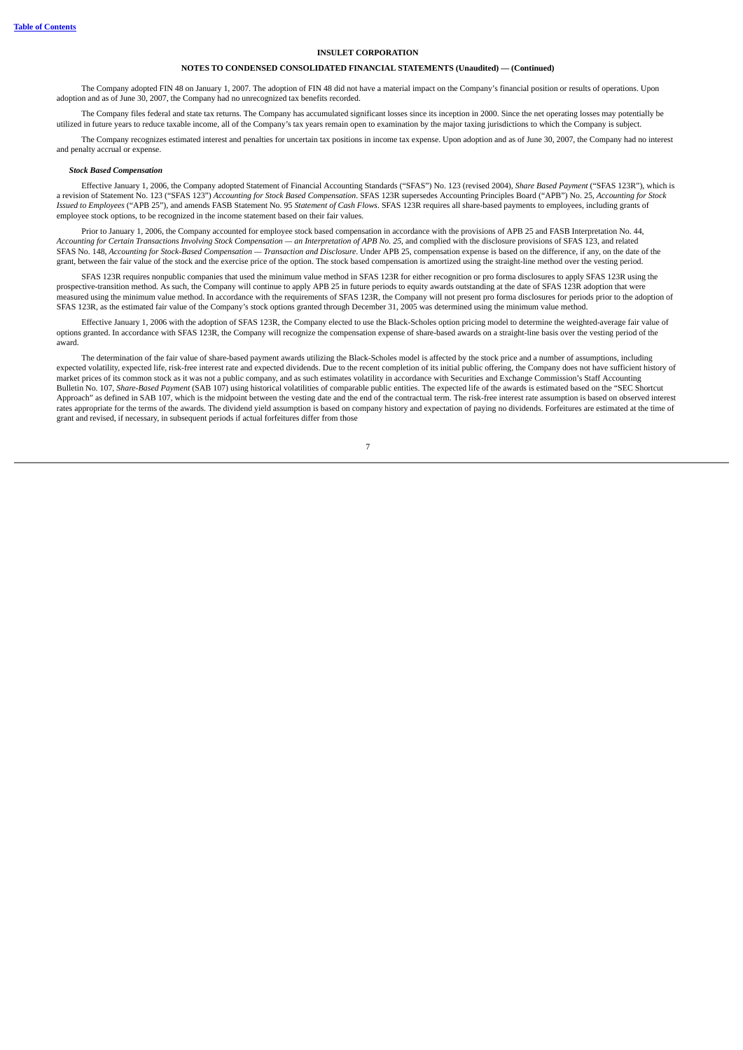### **NOTES TO CONDENSED CONSOLIDATED FINANCIAL STATEMENTS (Unaudited) — (Continued)**

The Company adopted FIN 48 on January 1, 2007. The adoption of FIN 48 did not have a material impact on the Company's financial position or results of operations. Upon adoption and as of June 30, 2007, the Company had no unrecognized tax benefits recorded.

The Company files federal and state tax returns. The Company has accumulated significant losses since its inception in 2000. Since the net operating losses may potentially be utilized in future years to reduce taxable income, all of the Company's tax years remain open to examination by the major taxing jurisdictions to which the Company is subject.

The Company recognizes estimated interest and penalties for uncertain tax positions in income tax expense. Upon adoption and as of June 30, 2007, the Company had no interest and penalty accrual or expense.

#### *Stock Based Compensation*

Effective January 1, 2006, the Company adopted Statement of Financial Accounting Standards ("SFAS") No. 123 (revised 2004), *Share Based Payment* ("SFAS 123R"), which is a revision of Statement No. 123 ("SFAS 123") Accounting for Stock Based Compensation. SFAS 123R supersedes Accounting Principles Board ("APB") No. 25, Accounting for Stock *Issued to Employees* ("APB 25"), and amends FASB Statement No. 95 *Statement of Cash Flows*. SFAS 123R requires all share-based payments to employees, including grants of employee stock options, to be recognized in the income statement based on their fair values.

Prior to January 1, 2006, the Company accounted for employee stock based compensation in accordance with the provisions of APB 25 and FASB Interpretation No. 44, Accounting for Certain Transactions Involving Stock Compensation - an Interpretation of APB No. 25, and complied with the disclosure provisions of SFAS 123, and related SFAS No. 148, Accounting for Stock-Based Compensation — Transaction and Disclosure. Under APB 25, compensation expense is based on the difference, if any, on the date of the grant, between the fair value of the stock and the exercise price of the option. The stock based compensation is amortized using the straight-line method over the vesting period.

SFAS 123R requires nonpublic companies that used the minimum value method in SFAS 123R for either recognition or pro forma disclosures to apply SFAS 123R using the prospective-transition method. As such, the Company will continue to apply APB 25 in future periods to equity awards outstanding at the date of SFAS 123R adoption that were measured using the minimum value method. In accordance with the requirements of SFAS 123R, the Company will not present pro forma disclosures for periods prior to the adoption of SFAS 123R, as the estimated fair value of the Company's stock options granted through December 31, 2005 was determined using the minimum value method.

Effective January 1, 2006 with the adoption of SFAS 123R, the Company elected to use the Black-Scholes option pricing model to determine the weighted-average fair value of options granted. In accordance with SFAS 123R, the Company will recognize the compensation expense of share-based awards on a straight-line basis over the vesting period of the award.

The determination of the fair value of share-based payment awards utilizing the Black-Scholes model is affected by the stock price and a number of assumptions, including expected volatility, expected life, risk-free interest rate and expected dividends. Due to the recent completion of its initial public offering, the Company does not have sufficient history of market prices of its common stock as it was not a public company, and as such estimates volatility in accordance with Securities and Exchange Commission's Staff Accounting Bulletin No. 107, *Share-Based Payment* (SAB 107) using historical volatilities of comparable public entities. The expected life of the awards is estimated based on the "SEC Shortcut Approach" as defined in SAB 107, which is the midpoint between the vesting date and the end of the contractual term. The risk-free interest rate assumption is based on observed interest rates appropriate for the terms of the awards. The dividend yield assumption is based on company history and expectation of paying no dividends. Forfeitures are estimated at the time of grant and revised, if necessary, in subsequent periods if actual forfeitures differ from those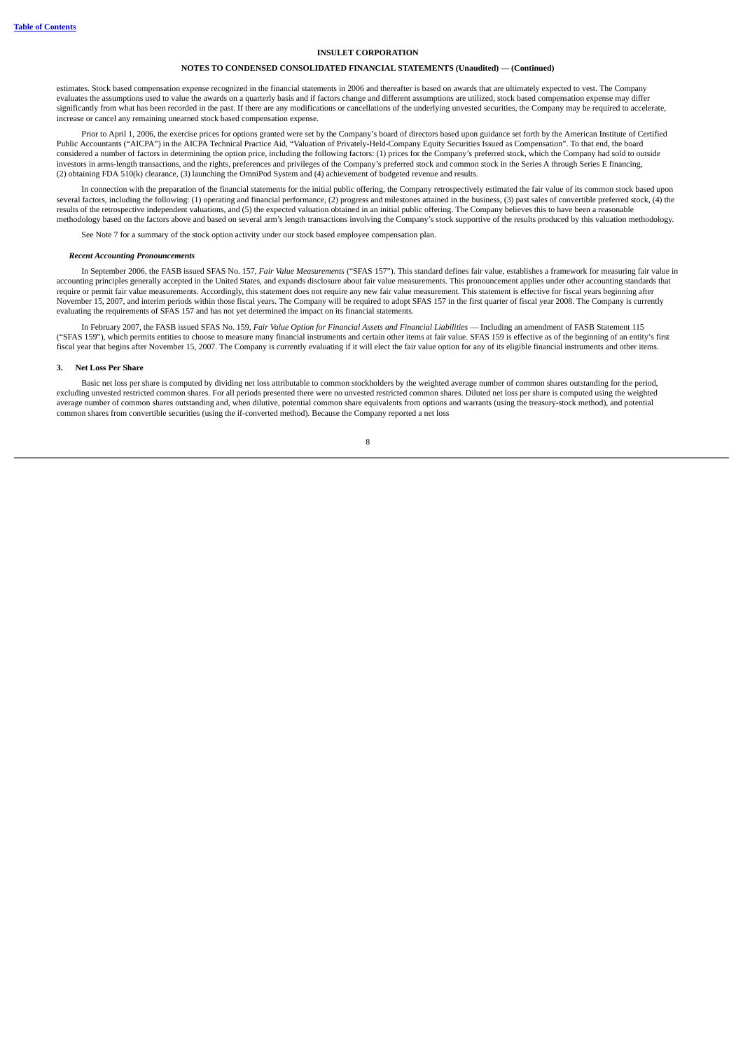### **NOTES TO CONDENSED CONSOLIDATED FINANCIAL STATEMENTS (Unaudited) — (Continued)**

estimates. Stock based compensation expense recognized in the financial statements in 2006 and thereafter is based on awards that are ultimately expected to vest. The Company evaluates the assumptions used to value the awards on a quarterly basis and if factors change and different assumptions are utilized, stock based compensation expense may differ significantly from what has been recorded in the past. If there are any modifications or cancellations of the underlying unvested securities, the Company may be required to accelerate, increase or cancel any remaining unearned stock based compensation expense.

Prior to April 1, 2006, the exercise prices for options granted were set by the Company's board of directors based upon guidance set forth by the American Institute of Certified Public Accountants ("AICPA") in the AICPA Technical Practice Aid, "Valuation of Privately-Held-Company Equity Securities Issued as Compensation". To that end, the board considered a number of factors in determining the option price, including the following factors: (1) prices for the Company's preferred stock, which the Company had sold to outside investors in arms-length transactions, and the rights, preferences and privileges of the Company's preferred stock and common stock in the Series A through Series E financing, (2) obtaining FDA 510(k) clearance, (3) launching the OmniPod System and (4) achievement of budgeted revenue and results.

In connection with the preparation of the financial statements for the initial public offering, the Company retrospectively estimated the fair value of its common stock based upon several factors, including the following: (1) operating and financial performance, (2) progress and milestones attained in the business, (3) past sales of convertible preferred stock, (4) the results of the retrospective independent valuations, and (5) the expected valuation obtained in an initial public offering. The Company believes this to have been a reasonable methodology based on the factors above and based on several arm's length transactions involving the Company's stock supportive of the results produced by this valuation methodology.

See Note 7 for a summary of the stock option activity under our stock based employee compensation plan.

#### *Recent Accounting Pronouncements*

In September 2006, the FASB issued SFAS No. 157, *Fair Value Measurements* ("SFAS 157"). This standard defines fair value, establishes a framework for measuring fair value in accounting principles generally accepted in the United States, and expands disclosure about fair value measurements. This pronouncement applies under other accounting standards that require or permit fair value measurements. Accordingly, this statement does not require any new fair value measurement. This statement is effective for fiscal years beginning after November 15, 2007, and interim periods within those fiscal years. The Company will be required to adopt SFAS 157 in the first quarter of fiscal year 2008. The Company is currently evaluating the requirements of SFAS 157 and has not yet determined the impact on its financial statements.

In February 2007, the FASB issued SFAS No. 159, *Fair Value Option for Financial Assets and Financial Liabilities* — Including an amendment of FASB Statement 115 ("SFAS 159"), which permits entities to choose to measure many financial instruments and certain other items at fair value. SFAS 159 is effective as of the beginning of an entity's first fiscal year that begins after November 15, 2007. The Company is currently evaluating if it will elect the fair value option for any of its eligible financial instruments and other items.

#### **3. Net Loss Per Share**

Basic net loss per share is computed by dividing net loss attributable to common stockholders by the weighted average number of common shares outstanding for the period, excluding unvested restricted common shares. For all periods presented there were no unvested restricted common shares. Diluted net loss per share is computed using the weighted restricted common shares. For all periods pr average number of common shares outstanding and, when dilutive, potential common share equivalents from options and warrants (using the treasury-stock method), and potential common shares from convertible securities (using the if-converted method). Because the Company reported a net loss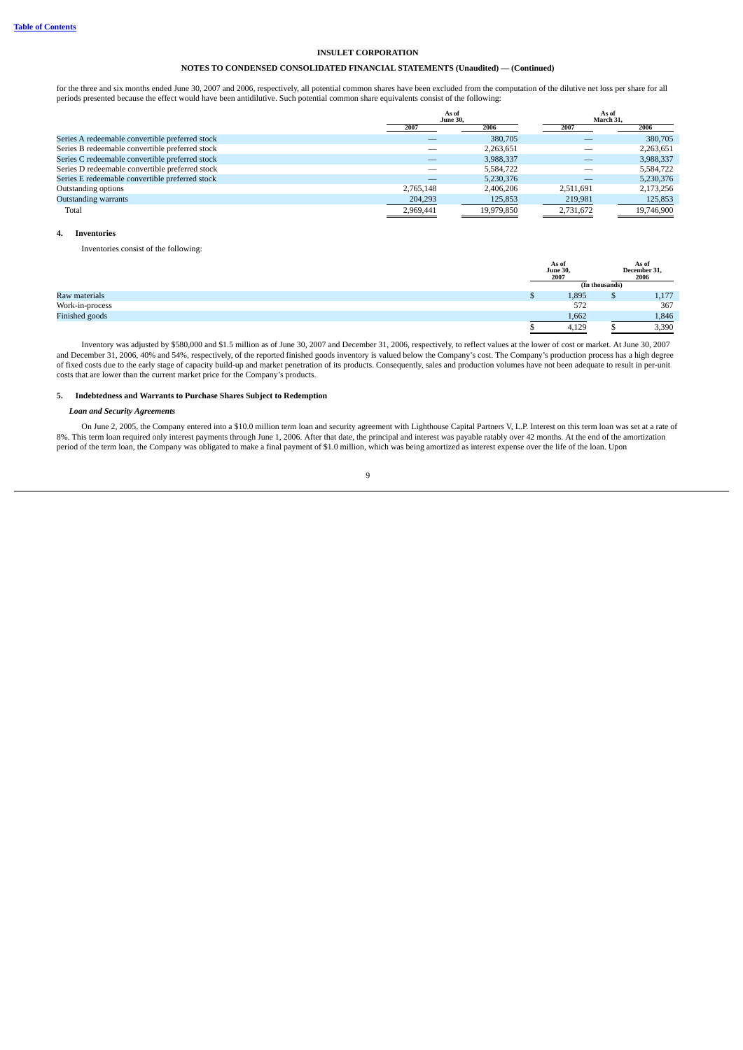## **NOTES TO CONDENSED CONSOLIDATED FINANCIAL STATEMENTS (Unaudited) — (Continued)**

for the three and six months ended June 30, 2007 and 2006, respectively, all potential common shares have been excluded from the computation of the dilutive net loss per share for all periods presented because the effect would have been antidilutive. Such potential common share equivalents consist of the following:

|                                                 | As of                           |            | As of<br>March 31. |            |
|-------------------------------------------------|---------------------------------|------------|--------------------|------------|
|                                                 | <b>June 30,</b><br>2006<br>2007 |            | 2007               | 2006       |
| Series A redeemable convertible preferred stock |                                 | 380,705    |                    | 380,705    |
| Series B redeemable convertible preferred stock |                                 | 2,263,651  |                    | 2,263,651  |
| Series C redeemable convertible preferred stock |                                 | 3,988,337  |                    | 3,988,337  |
| Series D redeemable convertible preferred stock |                                 | 5,584,722  |                    | 5,584,722  |
| Series E redeemable convertible preferred stock |                                 | 5,230,376  |                    | 5,230,376  |
| Outstanding options                             | 2.765.148                       | 2.406.206  | 2.511.691          | 2,173,256  |
| <b>Outstanding warrants</b>                     | 204,293                         | 125,853    | 219,981            | 125,853    |
| Total                                           | 2,969,441                       | 19.979.850 | 2,731,672          | 19,746,900 |

#### **4. Inventories**

Inventories consist of the following:

|                 | As of<br><b>June 30,</b><br>2007 |                | As of<br>December 31,<br>2006 |
|-----------------|----------------------------------|----------------|-------------------------------|
|                 |                                  | (In thousands) |                               |
| Raw materials   | 1,895                            |                | 1,177                         |
| Work-in-process | 572                              |                | 367                           |
| Finished goods  | 1,662                            |                | 1,846                         |
|                 | 4,129                            |                | 3,390                         |

Inventory was adjusted by \$580,000 and \$1.5 million as of June 30, 2007 and December 31, 2006, respectively, to reflect values at the lower of cost or market. At June 30, 2007 and December 31, 2006, 40% and 54%, respectively, of the reported finished goods inventory is valued below the Company's cost. The Company's production process has a high degree of fixed costs due to the early stage of capacity build-up and market penetration of its products. Consequently, sales and production volumes have not been adequate to result in per-unit costs that are lower than the current market price for the Company's products.

### **5. Indebtedness and Warrants to Purchase Shares Subject to Redemption**

#### *Loan and Security Agreements*

On June 2, 2005, the Company entered into a \$10.0 million term loan and security agreement with Lighthouse Capital Partners V, L.P. Interest on this term loan was set at a rate of 8%. This term loan required only interest payments through June 1, 2006. After that date, the principal and interest was payable ratably over 42 months. At the end of the amortization period of the term loan, the Company was obligated to make a final payment of \$1.0 million, which was being amortized as interest expense over the life of the loan. Upon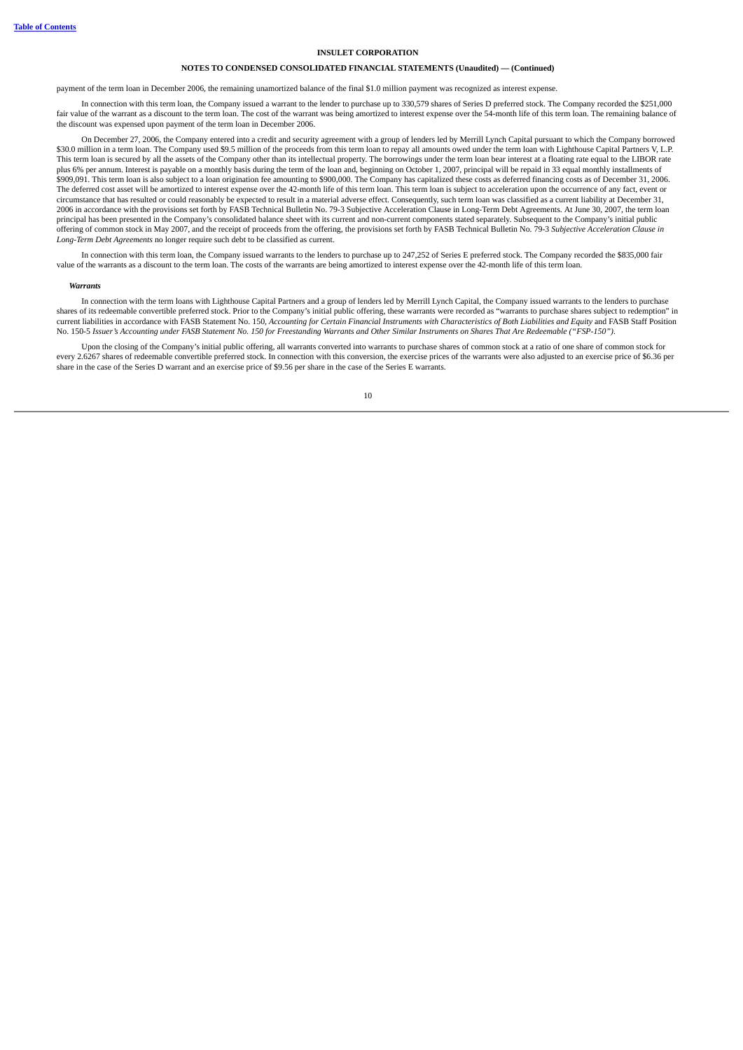### **NOTES TO CONDENSED CONSOLIDATED FINANCIAL STATEMENTS (Unaudited) — (Continued)**

payment of the term loan in December 2006, the remaining unamortized balance of the final \$1.0 million payment was recognized as interest expense.

In connection with this term loan, the Company issued a warrant to the lender to purchase up to 330,579 shares of Series D preferred stock. The Company recorded the \$251,000 fair value of the warrant as a discount to the term loan. The cost of the warrant was being amortized to interest expense over the 54-month life of this term loan. The remaining balance of the discount was expensed upon payment of the term loan in December 2006.

On December 27, 2006, the Company entered into a credit and security agreement with a group of lenders led by Merrill Lynch Capital pursuant to which the Company borrowed \$30.0 million in a term loan. The Company used \$9.5 million of the proceeds from this term loan to repay all amounts owed under the term loan with Lighthouse Capital Partners V, L.P. This term loan is secured by all the assets of the Company other than its intellectual property. The borrowings under the term loan bear interest at a floating rate equal to the LIBOR rate plus 6% per annum. Interest is payable on a monthly basis during the term of the loan and, beginning on October 1, 2007, principal will be repaid in 33 equal monthly installments of plus 0.0 per unitant increased by just on a montary business are connected to the Company has capitalized these costs as deferred financing costs as of December 31, 2006.<br>\$909,091. This term loan is also subject to a loan The deferred cost asset will be amortized to interest expense over the 42-month life of this term loan. This term loan is subject to acceleration upon the occurrence of any fact, event or circumstance that has resulted or could reasonably be expected to result in a material adverse effect. Consequently, such term loan was classified as a current liability at December 31, 2006 in accordance with the provisions set forth by FASB Technical Bulletin No. 79-3 Subjective Acceleration Clause in Long-Term Debt Agreements. At June 30, 2007, the term loan principal has been presented in the Company's consolidated balance sheet with its current and non-current components stated separately. Subsequent to the Company's initial public offering of common stock in May 2007, and the receipt of proceeds from the offering, the provisions set forth by FASB Technical Bulletin No. 79-3 *Subjective Acceleration Clause in Long-Term Debt Agreements* no longer require such debt to be classified as current.

In connection with this term loan, the Company issued warrants to the lenders to purchase up to 247,252 of Series E preferred stock. The Company recorded the \$835,000 fair value of the warrants as a discount to the term loan. The costs of the warrants are being amortized to interest expense over the 42-month life of this term loan.

#### *Warrants*

In connection with the term loans with Lighthouse Capital Partners and a group of lenders led by Merrill Lynch Capital, the Company issued warrants to the lenders to purchase shares of its redeemable convertible preferred stock. Prior to the Company's initial public offering, these warrants were recorded as "warrants to purchase shares subject to redemption" in current liabilities in accordance with FASB Statement No. 150, Accounting for Certain Financial Instruments with Characteristics of Both Liabilities and Equity and FASB Staff Position No. 150-5 Issuer's Accounting under FASB Statement No. 150 for Freestanding Warrants and Other Similar Instruments on Shares That Are Redeemable ("FSP-150").

Upon the closing of the Company's initial public offering, all warrants converted into warrants to purchase shares of common stock at a ratio of one share of common stock for every 2.6267 shares of redeemable convertible preferred stock. In connection with this conversion, the exercise prices of the warrants were also adjusted to an exercise price of \$6.36 per share in the case of the Series D warrant and an exercise price of \$9.56 per share in the case of the Series E warrants.

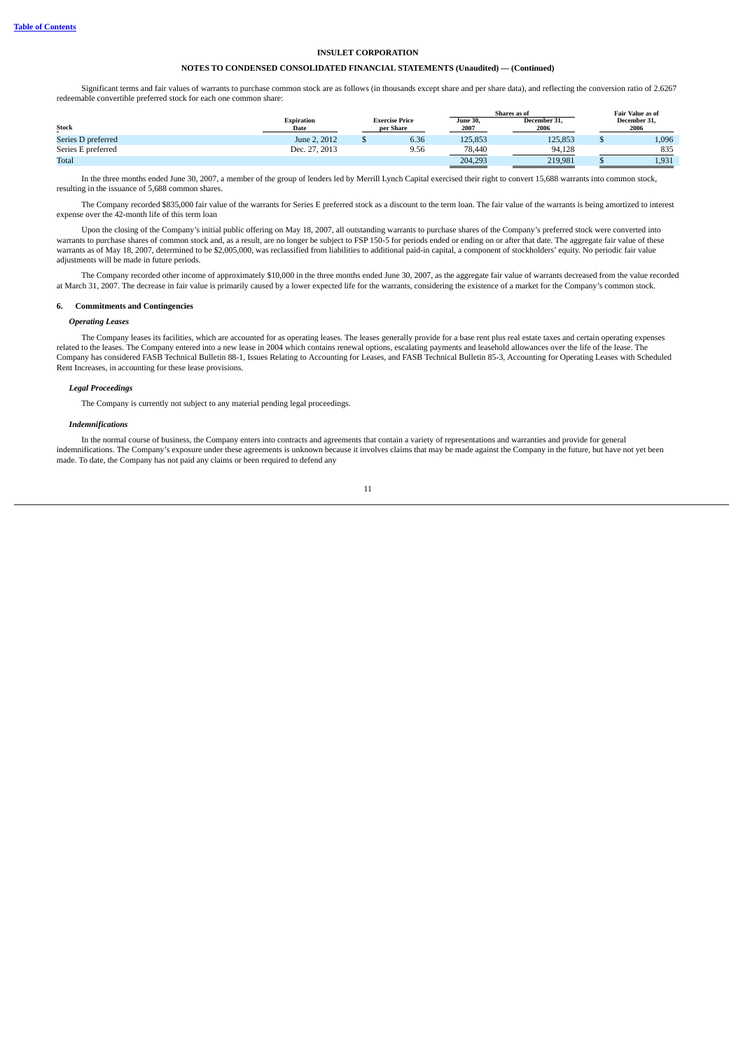## **NOTES TO CONDENSED CONSOLIDATED FINANCIAL STATEMENTS (Unaudited) — (Continued)**

Significant terms and fair values of warrants to purchase common stock are as follows (in thousands except share and per share data), and reflecting the conversion ratio of 2.6267 redeemable convertible preferred stock for each one common share:

|                        |                    |                                    |      |                         | Shares as of         | <b>Fair Value as of</b> |
|------------------------|--------------------|------------------------------------|------|-------------------------|----------------------|-------------------------|
| <b>Stock</b><br>$\sim$ | Expiration<br>Date | <b>Exercise Price</b><br>per Share |      | <b>June 30.</b><br>2007 | December 31.<br>2006 | December 31,<br>2006    |
| Series D preferred     | June 2, 2012       |                                    | 6.36 | 125,853                 | 125,853              | 1,096                   |
| Series E preferred     | Dec. 27, 2013      |                                    | 9.56 | 78,440                  | 94.128               | 835                     |
| Total                  |                    |                                    |      | 204.293                 | 219.981              | 1,931                   |

In the three months ended June 30, 2007, a member of the group of lenders led by Merrill Lynch Capital exercised their right to convert 15,688 warrants into common stock, resulting in the issuance of 5,688 common shares.

The Company recorded \$835,000 fair value of the warrants for Series E preferred stock as a discount to the term loan. The fair value of the warrants is being amortized to interest expense over the 42-month life of this term loan

Upon the closing of the Company's initial public offering on May 18, 2007, all outstanding warrants to purchase shares of the Company's preferred stock were converted into warrants to purchase shares of common stock and, as a result, are no longer be subject to FSP 150-5 for periods ended or ending on or after that date. The aggregate fair value of these warrants as of May 18, 2007, determined to be \$2,005,000, was reclassified from liabilities to additional paid-in capital, a component of stockholders' equity. No periodic fair value adjustments will be made in future periods.

The Company recorded other income of approximately \$10,000 in the three months ended June 30, 2007, as the aggregate fair value of warrants decreased from the value recorded at March 31, 2007. The decrease in fair value is primarily caused by a lower expected life for the warrants, considering the existence of a market for the Company's common stock.

### **6. Commitments and Contingencies**

### *Operating Leases*

The Company leases its facilities, which are accounted for as operating leases. The leases generally provide for a base rent plus real estate taxes and certain operating expenses related to the leases. The Company entered into a new lease in 2004 which contains renewal options, escalating payments and leasehold allowances over the life of the lease. The Company has considered FASB Technical Bulletin 88-1, Issues Relating to Accounting for Leases, and FASB Technical Bulletin 85-3, Accounting for Operating Leases with Scheduled Rent Increases, in accounting for these lease provisions.

### *Legal Proceedings*

The Company is currently not subject to any material pending legal proceedings.

#### *Indemnifications*

In the normal course of business, the Company enters into contracts and agreements that contain a variety of representations and warranties and provide for general indemnifications. The Company's exposure under these agreements is unknown because it involves claims that may be made against the Company in the future, but have not yet been made. To date, the Company has not paid any claims or been required to defend any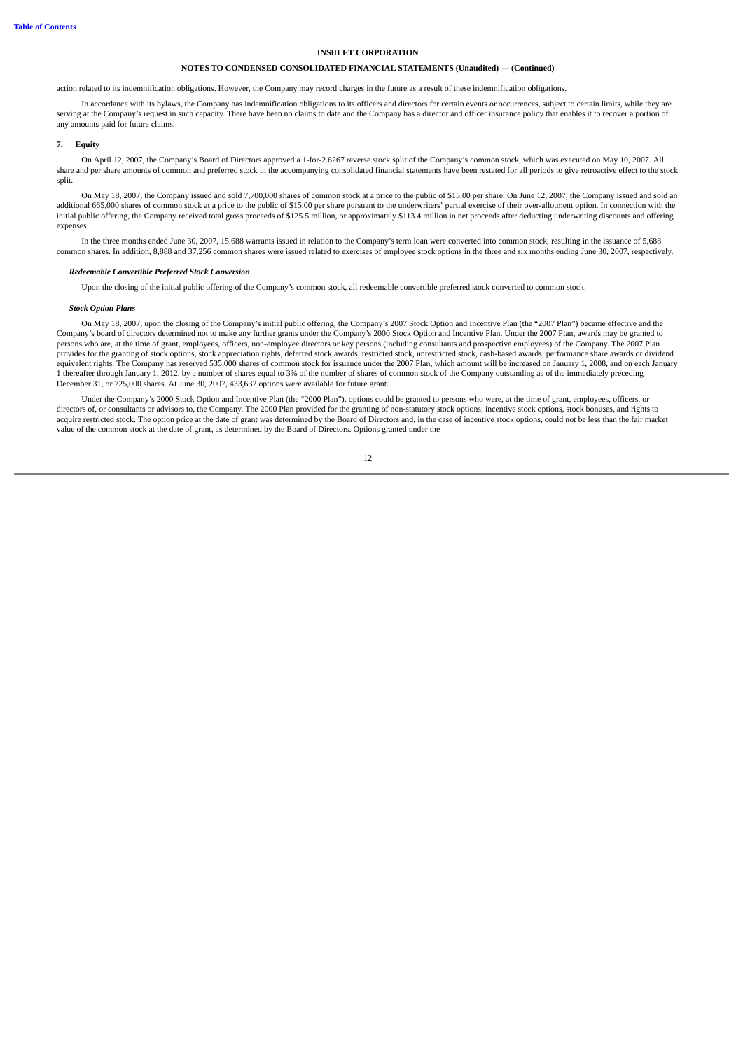### **NOTES TO CONDENSED CONSOLIDATED FINANCIAL STATEMENTS (Unaudited) — (Continued)**

action related to its indemnification obligations. However, the Company may record charges in the future as a result of these indemnification obligations.

In accordance with its bylaws, the Company has indemnification obligations to its officers and directors for certain events or occurrences, subject to certain limits, while they are serving at the Company's request in such capacity. There have been no claims to date and the Company has a director and officer insurance policy that enables it to recover a portion of any amounts paid for future claims.

#### **7. Equity**

On April 12, 2007, the Company's Board of Directors approved a 1-for-2.6267 reverse stock split of the Company's common stock, which was executed on May 10, 2007. All share and per share amounts of common and preferred stock in the accompanying consolidated financial statements have been restated for all periods to give retroactive effect to the stock split.

On May 18, 2007, the Company issued and sold 7,700,000 shares of common stock at a price to the public of \$15.00 per share. On June 12, 2007, the Company issued and sold an additional 665,000 shares of common stock at a price to the public of \$15.00 per share pursuant to the underwriters' partial exercise of their over-allotment option. In connection with the initial public offering, the Company received total gross proceeds of \$125.5 million, or approximately \$113.4 million in net proceeds after deducting underwriting discounts and offering expenses.

In the three months ended June 30, 2007, 15,688 warrants issued in relation to the Company's term loan were converted into common stock, resulting in the issuance of 5,688 common shares. In addition, 8,888 and 37,256 common shares were issued related to exercises of employee stock options in the three and six months ending June 30, 2007, respectively.

#### *Redeemable Convertible Preferred Stock Conversion*

Upon the closing of the initial public offering of the Company's common stock, all redeemable convertible preferred stock converted to common stock.

#### *Stock Option Plans*

On May 18, 2007, upon the closing of the Company's initial public offering, the Company's 2007 Stock Option and Incentive Plan (the "2007 Plan") became effective and the Company's board of directors determined not to make any further grants under the Company's 2000 Stock Option and Incentive Plan. Under the 2007 Plan, awards may be granted to persons who are, at the time of grant, employees, officers, non-employee directors or key persons (including consultants and prospective employees) of the Company. The 2007 Plan provides for the granting of stock options, stock appreciation rights, deferred stock awards, restricted stock, unrestricted stock, cash-based awards, performance share awards or dividend equivalent rights. The Company has reserved 535,000 shares of common stock for issuance under the 2007 Plan, which amount will be increased on January 1, 2008, and on each January 1 thereafter through January 1, 2012, by a number of shares equal to 3% of the number of shares of common stock of the Company outstanding as of the immediately preceding December 31, or 725,000 shares. At June 30, 2007, 433,632 options were available for future grant.

Under the Company's 2000 Stock Option and Incentive Plan (the "2000 Plan"), options could be granted to persons who were, at the time of grant, employees, officers, or directors of, or consultants or advisors to, the Company. The 2000 Plan provided for the granting of non-statutory stock options, incentive stock options, stock bonuses, and rights to acquire restricted stock. The option price at the date of grant was determined by the Board of Directors and, in the case of incentive stock options, could not be less than the fair market value of the common stock at the date of grant, as determined by the Board of Directors. Options granted under the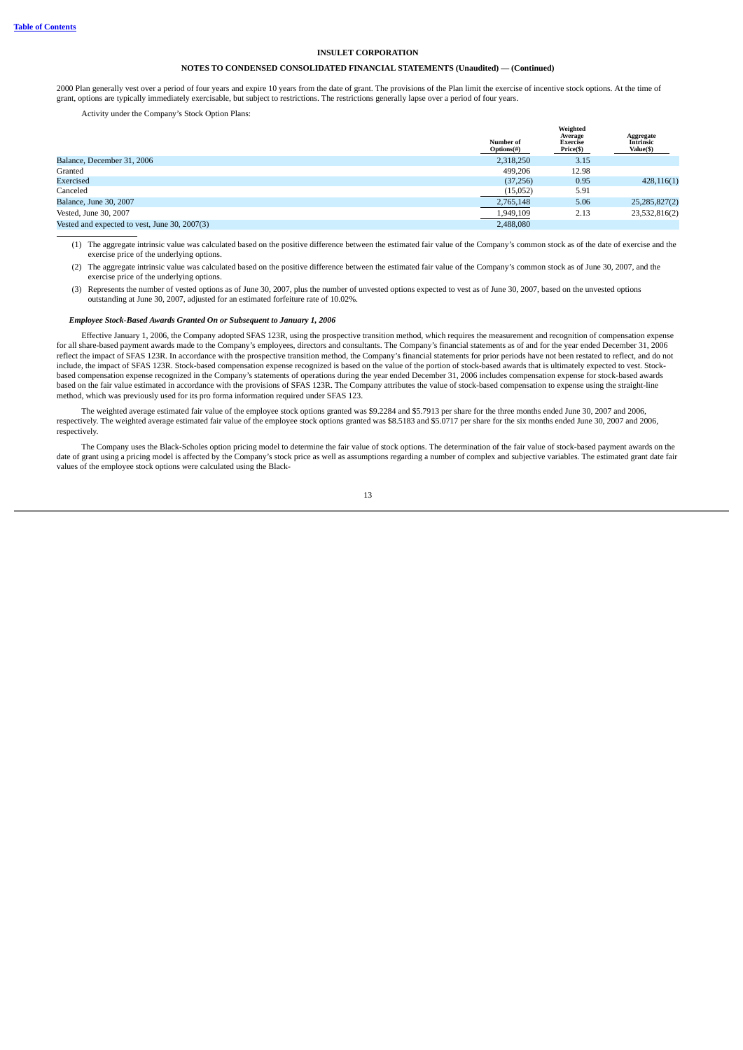### **NOTES TO CONDENSED CONSOLIDATED FINANCIAL STATEMENTS (Unaudited) — (Continued)**

2000 Plan generally vest over a period of four years and expire 10 years from the date of grant. The provisions of the Plan limit the exercise of incentive stock options. At the time of grant, options are typically immediately exercisable, but subject to restrictions. The restrictions generally lapse over a period of four years.

Activity under the Company's Stock Option Plans:

| Number of<br>Options(#) | Weighted<br>Average<br><b>Exercise</b><br>Price(\$) | Aggregate<br><b>Intrinsic</b><br>Value(\$) |
|-------------------------|-----------------------------------------------------|--------------------------------------------|
| 2,318,250               | 3.15                                                |                                            |
| 499.206                 | 12.98                                               |                                            |
| (37, 256)               | 0.95                                                | 428,116(1)                                 |
| (15,052)                | 5.91                                                |                                            |
| 2,765,148               | 5.06                                                | 25,285,827(2)                              |
| 1,949,109               | 2.13                                                | 23,532,816(2)                              |
| 2,488,080               |                                                     |                                            |
|                         |                                                     |                                            |

(1) The aggregate intrinsic value was calculated based on the positive difference between the estimated fair value of the Company's common stock as of the date of exercise and the exercise price of the underlying options.

- (2) The aggregate intrinsic value was calculated based on the positive difference between the estimated fair value of the Company's common stock as of June 30, 2007, and the exercise price of the underlying options.
- (3) Represents the number of vested options as of June 30, 2007, plus the number of unvested options expected to vest as of June 30, 2007, based on the unvested options outstanding at June 30, 2007, adjusted for an estimated forfeiture rate of 10.02%.

#### *Employee Stock-Based Awards Granted On or Subsequent to January 1, 2006*

Effective January 1, 2006, the Company adopted SFAS 123R, using the prospective transition method, which requires the measurement and recognition of compensation expense for all share-based payment awards made to the Company's employees, directors and consultants. The Company's financial statements as of and for the year ended December 31, 2006 reflect the impact of SFAS 123R. In accordance with the prospective transition method, the Company's financial statements for prior periods have not been restated to reflect, and do not include, the impact of SFAS 123R. Stock-based compensation expense recognized is based on the value of the portion of stock-based awards that is ultimately expected to vest. Stockbased compensation expense recognized in the Company's statements of operations during the year ended December 31, 2006 includes compensation expense for stock-based awards based on the fair value estimated in accordance with the provisions of SFAS 123R. The Company attributes the value of stock-based compensation to expense using the straight-line method, which was previously used for its pro forma information required under SFAS 123.

The weighted average estimated fair value of the employee stock options granted was \$9.2284 and \$5.7913 per share for the three months ended June 30, 2007 and 2006, respectively. The weighted average estimated fair value of the employee stock options granted was \$8.5183 and \$5.0717 per share for the six months ended June 30, 2007 and 2006, respectively.

The Company uses the Black-Scholes option pricing model to determine the fair value of stock options. The determination of the fair value of stock-based payment awards on the date of grant using a pricing model is affected by the Company's stock price as well as assumptions regarding a number of complex and subjective variables. The estimated grant date fair values of the employee stock options were calculated using the Black-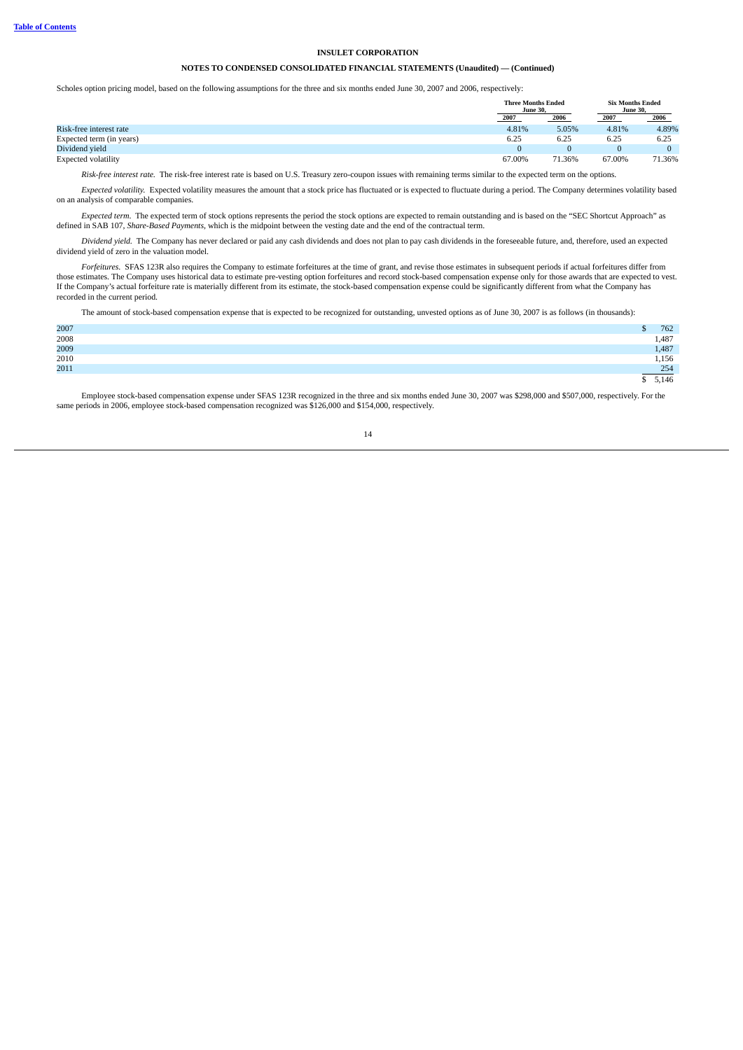## **NOTES TO CONDENSED CONSOLIDATED FINANCIAL STATEMENTS (Unaudited) — (Continued)**

Scholes option pricing model, based on the following assumptions for the three and six months ended June 30, 2007 and 2006, respectively:

|                            | <b>Three Months Ended</b><br><b>June 30.</b> |        | <b>Six Months Ended</b><br><b>June 30.</b> |        |
|----------------------------|----------------------------------------------|--------|--------------------------------------------|--------|
|                            | 2007                                         | 2006   | 2007                                       | 2006   |
| Risk-free interest rate    | 4.81%                                        | 5.05%  | 4.81%                                      | 4.89%  |
| Expected term (in years)   | 6.25                                         | 6.25   | 6.25                                       | 6.25   |
| Dividend vield             |                                              |        |                                            |        |
| <b>Expected volatility</b> | 67.00%                                       | 71.36% | 67.00%                                     | 71.36% |

*Risk-free interest rate.* The risk-free interest rate is based on U.S. Treasury zero-coupon issues with remaining terms similar to the expected term on the options.

*Expected volatility.* Expected volatility measures the amount that a stock price has fluctuated or is expected to fluctuate during a period. The Company determines volatility based on an analysis of comparable companies.

*Expected term.* The expected term of stock options represents the period the stock options are expected to remain outstanding and is based on the "SEC Shortcut Approach" as defined in SAB 107, *Share-Based Payments*, which is the midpoint between the vesting date and the end of the contractual term.

*Dividend yield.* The Company has never declared or paid any cash dividends and does not plan to pay cash dividends in the foreseeable future, and, therefore, used an expected dividend yield of zero in the valuation model.

*Forfeitures.* SFAS 123R also requires the Company to estimate forfeitures at the time of grant, and revise those estimates in subsequent periods if actual forfeitures differ from those estimates. The Company uses historical data to estimate pre-vesting option forfeitures and record stock-based compensation expense only for those awards that are expected to vest. If the Company's actual forfeiture rate is materially different from its estimate, the stock-based compensation expense could be significantly different from what the Company has recorded in the current period.

The amount of stock-based compensation expense that is expected to be recognized for outstanding, unvested options as of June 30, 2007 is as follows (in thousands):

| 2007         | - 1 | 762   |
|--------------|-----|-------|
| 2008<br>2009 |     | 1,487 |
|              |     | 1,487 |
| 2010<br>2011 |     | 1,156 |
|              |     | 254   |
|              |     | 5,146 |

Employee stock-based compensation expense under SFAS 123R recognized in the three and six months ended June 30, 2007 was \$298,000 and \$507,000, respectively. For the same periods in 2006, employee stock-based compensation recognized was \$126,000 and \$154,000, respectively.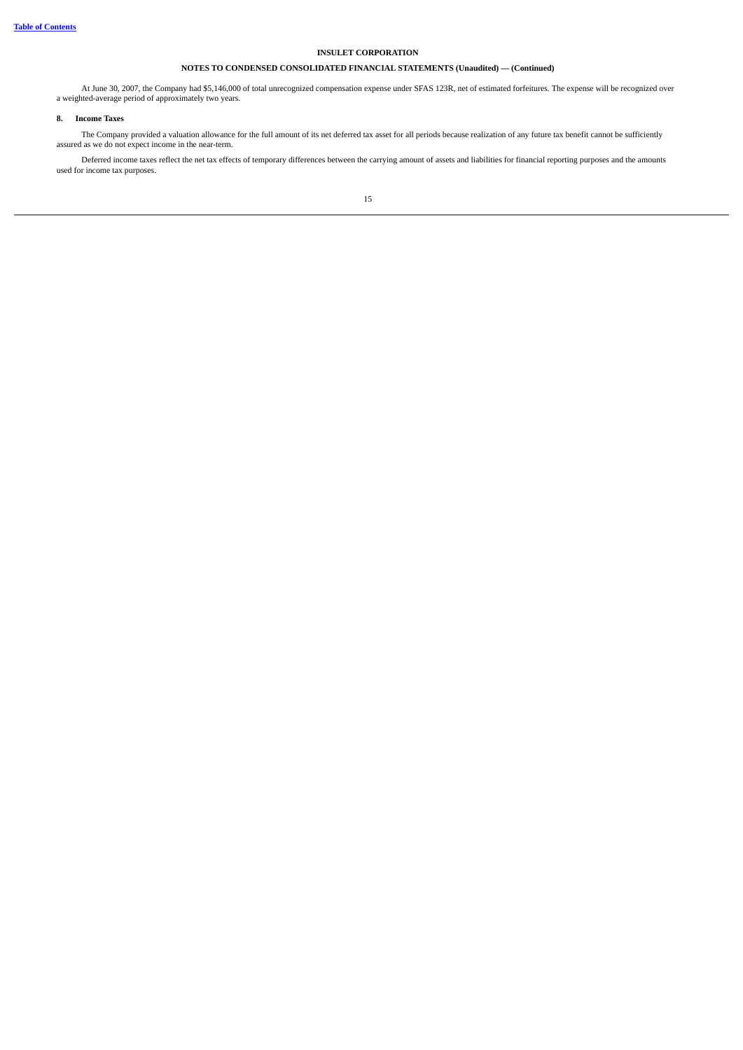# **NOTES TO CONDENSED CONSOLIDATED FINANCIAL STATEMENTS (Unaudited) — (Continued)**

At June 30, 2007, the Company had \$5,146,000 of total unrecognized compensation expense under SFAS 123R, net of estimated forfeitures. The expense will be recognized over a weighted-average period of approximately two years.

### **8. Income Taxes**

The Company provided a valuation allowance for the full amount of its net deferred tax asset for all periods because realization of any future tax benefit cannot be sufficiently assured as we do not expect income in the near-term.

Deferred income taxes reflect the net tax effects of temporary differences between the carrying amount of assets and liabilities for financial reporting purposes and the amounts used for income tax purposes.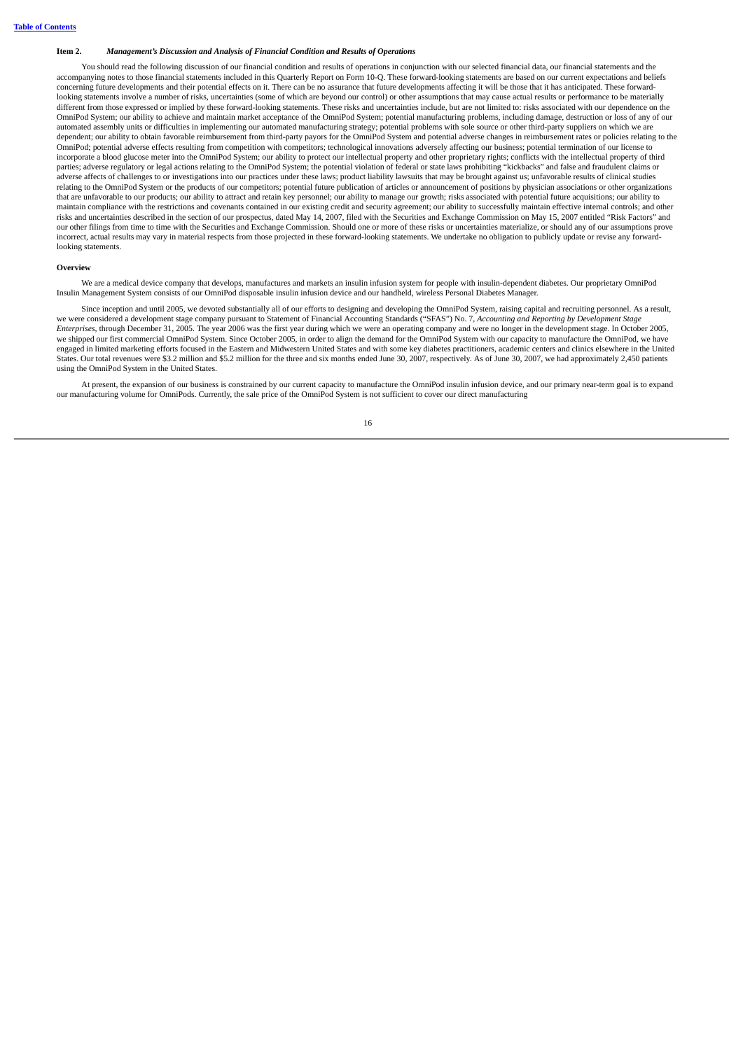### <span id="page-18-0"></span>**Item 2.** *Management's Discussion and Analysis of Financial Condition and Results of Operations*

You should read the following discussion of our financial condition and results of operations in conjunction with our selected financial data, our financial statements and the accompanying notes to those financial statements included in this Quarterly Report on Form 10-Q. These forward-looking statements are based on our current expectations and beliefs concerning future developments and their potential effects on it. There can be no assurance that future developments affecting it will be those that it has anticipated. These forwardlooking statements involve a number of risks, uncertainties (some of which are beyond our control) or other assumptions that may cause actual results or performance to be materially different from those expressed or implied by these forward-looking statements. These risks and uncertainties include, but are not limited to: risks associated with our dependence on the OmniPod System; our ability to achieve and maintain market acceptance of the OmniPod System; potential manufacturing problems, including damage, destruction or loss of any of our automated assembly units or difficulties in implementing our automated manufacturing strategy; potential problems with sole source or other third-party suppliers on which we are dependent; our ability to obtain favorable reimbursement from third-party payors for the OmniPod System and potential adverse changes in reimbursement rates or policies relating to the OmniPod; potential adverse effects resulting from competition with competitors; technological innovations adversely affecting our business; potential termination of our license to incorporate a blood glucose meter into the OmniPod System; our ability to protect our intellectual property and other proprietary rights; conflicts with the intellectual property of third parties; adverse regulatory or legal actions relating to the OmniPod System; the potential violation of federal or state laws prohibiting "kickbacks" and false and fraudulent claims or adverse affects of challenges to or investigations into our practices under these laws; product liability lawsuits that may be brought against us; unfavorable results of clinical studies relating to the OmniPod System or the products of our competitors; potential future publication of articles or announcement of positions by physician associations or other organizations that are unfavorable to our products; our ability to attract and retain key personnel; our ability to manage our growth; risks associated with potential future acquisitions; our ability to maintain compliance with the restrictions and covenants contained in our existing credit and security agreement; our ability to successfully maintain effective internal controls; and other risks and uncertainties described in the section of our prospectus, dated May 14, 2007, filed with the Securities and Exchange Commission on May 15, 2007 entitled "Risk Factors" and our other filings from time to time with the Securities and Exchange Commission. Should one or more of these risks or uncertainties materialize, or should any of our assumptions prove incorrect, actual results may vary in material respects from those projected in these forward-looking statements. We undertake no obligation to publicly update or revise any forwardlooking statements.

#### **Overview**

We are a medical device company that develops, manufactures and markets an insulin infusion system for people with insulin-dependent diabetes. Our proprietary OmniPod Insulin Management System consists of our OmniPod disposable insulin infusion device and our handheld, wireless Personal Diabetes Manager.

Since inception and until 2005, we devoted substantially all of our efforts to designing and developing the OmniPod System, raising capital and recruiting personnel. As a result, we were considered a development stage company pursuant to Statement of Financial Accounting Standards ("SFAS") No. 7, *Accounting and Reporting by Development Stage Enterprises*, through December 31, 2005. The year 2006 was the first year during which we were an operating company and were no longer in the development stage. In October 2005, we shipped our first commercial OmniPod System. Since October 2005, in order to align the demand for the OmniPod System with our capacity to manufacture the OmniPod, we have engaged in limited marketing efforts focused in the Eastern and Midwestern United States and with some key diabetes practitioners, academic centers and clinics elsewhere in the United States. Our total revenues were \$3.2 million and \$5.2 million for the three and six months ended June 30, 2007, respectively. As of June 30, 2007, we had approximately 2,450 patients using the OmniPod System in the United States.

At present, the expansion of our business is constrained by our current capacity to manufacture the OmniPod insulin infusion device, and our primary near-term goal is to expand our manufacturing volume for OmniPods. Currently, the sale price of the OmniPod System is not sufficient to cover our direct manufacturing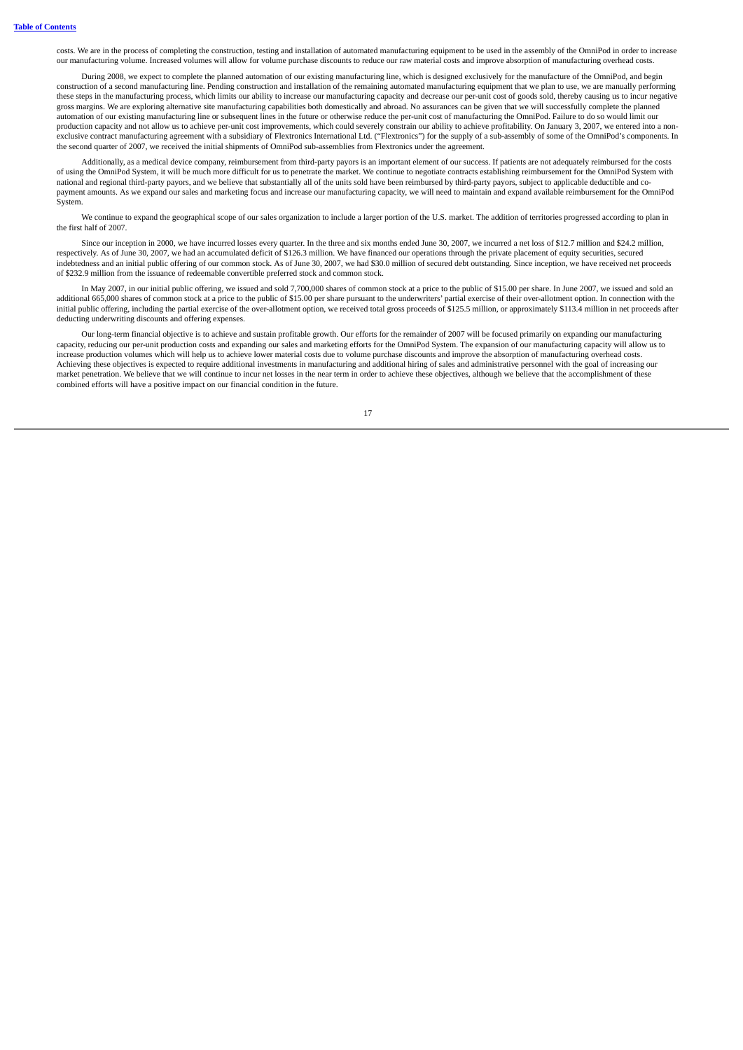costs. We are in the process of completing the construction, testing and installation of automated manufacturing equipment to be used in the assembly of the OmniPod in order to increase our manufacturing volume. Increased volumes will allow for volume purchase discounts to reduce our raw material costs and improve absorption of manufacturing overhead costs.

During 2008, we expect to complete the planned automation of our existing manufacturing line, which is designed exclusively for the manufacture of the OmniPod, and begin construction of a second manufacturing line. Pending construction and installation of the remaining automated manufacturing equipment that we plan to use, we are manually performing these steps in the manufacturing process, which limits our ability to increase our manufacturing capacity and decrease our per-unit cost of goods sold, thereby causing us to incur negative gross margins. We are exploring alternative site manufacturing capabilities both domestically and abroad. No assurances can be given that we will successfully complete the planned automation of our existing manufacturing line or subsequent lines in the future or otherwise reduce the per-unit cost of manufacturing the OmniPod. Failure to do so would limit our production capacity and not allow us to achieve per-unit cost improvements, which could severely constrain our ability to achieve profitability. On January 3, 2007, we entered into a nonexclusive contract manufacturing agreement with a subsidiary of Flextronics International Ltd. ("Flextronics") for the supply of a sub-assembly of some of the OmniPod's components. In the second quarter of 2007, we received the initial shipments of OmniPod sub-assemblies from Flextronics under the agreement.

Additionally, as a medical device company, reimbursement from third-party payors is an important element of our success. If patients are not adequately reimbursed for the costs of using the OmniPod System, it will be much more difficult for us to penetrate the market. We continue to negotiate contracts establishing reimbursement for the OmniPod System with national and regional third-party payors, and we believe that substantially all of the units sold have been reimbursed by third-party payors, subject to applicable deductible and copayment amounts. As we expand our sales and marketing focus and increase our manufacturing capacity, we will need to maintain and expand available reimbursement for the OmniPod System.

We continue to expand the geographical scope of our sales organization to include a larger portion of the U.S. market. The addition of territories progressed according to plan in the first half of 2007.

Since our inception in 2000, we have incurred losses every quarter. In the three and six months ended June 30, 2007, we incurred a net loss of \$12.7 million and \$24.2 million, respectively. As of June 30, 2007, we had an accumulated deficit of \$126.3 million. We have financed our operations through the private placement of equity securities, secured indebtedness and an initial public offering of our common stock. As of June 30, 2007, we had \$30.0 million of secured debt outstanding. Since inception, we have received net proceeds of \$232.9 million from the issuance of redeemable convertible preferred stock and common stock.

In May 2007, in our initial public offering, we issued and sold 7,700,000 shares of common stock at a price to the public of \$15.00 per share. In June 2007, we issued and sold an additional 665,000 shares of common stock at a price to the public of \$15.00 per share pursuant to the underwriters' partial exercise of their over-allotment option. In connection with the initial public offering, including the partial exercise of the over-allotment option, we received total gross proceeds of \$125.5 million, or approximately \$113.4 million in net proceeds after deducting underwriting discounts and offering expenses.

Our long-term financial objective is to achieve and sustain profitable growth. Our efforts for the remainder of 2007 will be focused primarily on expanding our manufacturing capacity, reducing our per-unit production costs and expanding our sales and marketing efforts for the OmniPod System. The expansion of our manufacturing capacity will allow us to increase production volumes which will help us to achieve lower material costs due to volume purchase discounts and improve the absorption of manufacturing overhead costs. Achieving these objectives is expected to require additional investments in manufacturing and additional hiring of sales and administrative personnel with the goal of increasing our market penetration. We believe that we will continue to incur net losses in the near term in order to achieve these objectives, although we believe that the accomplishment of these combined efforts will have a positive impact on our financial condition in the future.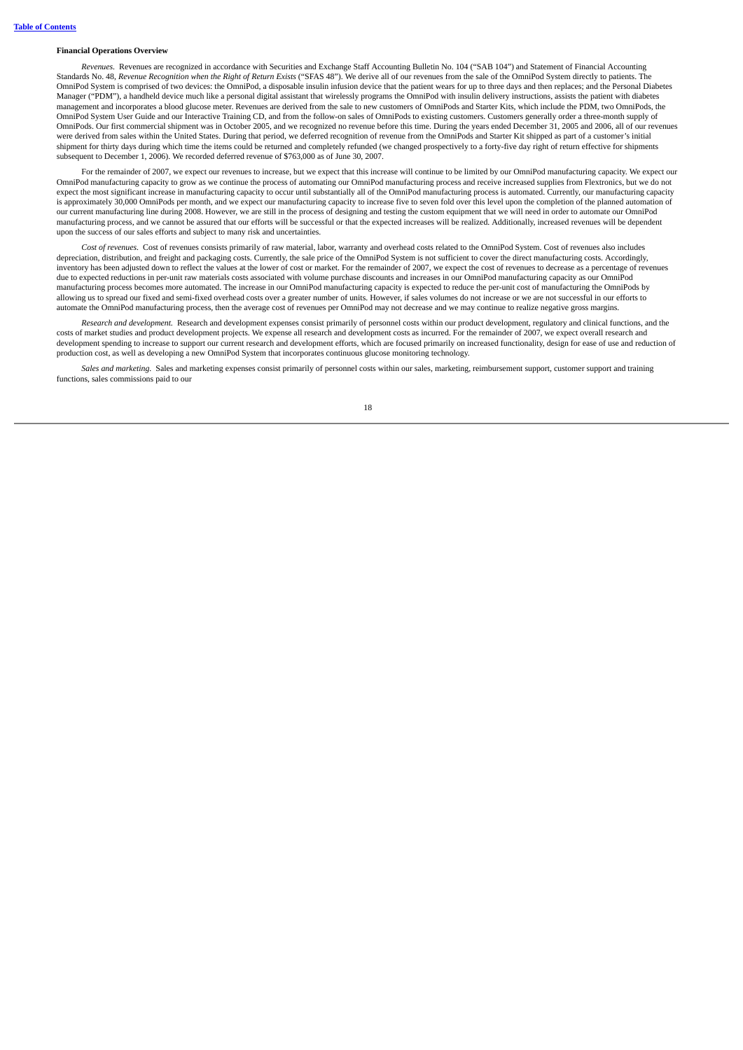#### **Financial Operations Overview**

*Revenues.* Revenues are recognized in accordance with Securities and Exchange Staff Accounting Bulletin No. 104 ("SAB 104") and Statement of Financial Accounting Standards No. 48, Revenue Recognition when the Right of Return Exists ("SFAS 48"). We derive all of our revenues from the sale of the OmniPod System directly to patients. The OmniPod System is comprised of two devices: the OmniPod, a disposable insulin infusion device that the patient wears for up to three days and then replaces; and the Personal Diabetes Manager ("PDM"), a handheld device much like a personal digital assistant that wirelessly programs the OmniPod with insulin delivery instructions, assists the patient with diabetes management and incorporates a blood glucose meter. Revenues are derived from the sale to new customers of OmniPods and Starter Kits, which include the PDM, two OmniPods, the OmniPod System User Guide and our Interactive Training CD, and from the follow-on sales of OmniPods to existing customers. Customers generally order a three-month supply of OmniPods. Our first commercial shipment was in October 2005, and we recognized no revenue before this time. During the years ended December 31, 2005 and 2006, all of our revenues were derived from sales within the United States. During that period, we deferred recognition of revenue from the OmniPods and Starter Kit shipped as part of a customer's initial shipment for thirty days during which time the items could be returned and completely refunded (we changed prospectively to a forty-five day right of return effective for shipments subsequent to December 1, 2006). We recorded deferred revenue of \$763,000 as of June 30, 2007.

For the remainder of 2007, we expect our revenues to increase, but we expect that this increase will continue to be limited by our OmniPod manufacturing capacity. We expect our OmniPod manufacturing capacity to grow as we continue the process of automating our OmniPod manufacturing process and receive increased supplies from Flextronics, but we do not expect the most significant increase in manufacturing capacity to occur until substantially all of the OmniPod manufacturing process is automated. Currently, our manufacturing capacity is approximately 30,000 OmniPods per month, and we expect our manufacturing capacity to increase five to seven fold over this level upon the completion of the planned automation of our current manufacturing line during 2008. However, we are still in the process of designing and testing the custom equipment that we will need in order to automate our OmniPod manufacturing process, and we cannot be assured that our efforts will be successful or that the expected increases will be realized. Additionally, increased revenues will be dependent upon the success of our sales efforts and subject to many risk and uncertainties.

*Cost of revenues.* Cost of revenues consists primarily of raw material, labor, warranty and overhead costs related to the OmniPod System. Cost of revenues also includes depreciation, distribution, and freight and packaging costs. Currently, the sale price of the OmniPod System is not sufficient to cover the direct manufacturing costs. Accordingly, inventory has been adjusted down to reflect the values at the lower of cost or market. For the remainder of 2007, we expect the cost of revenues to decrease as a percentage of revenues due to expected reductions in per-unit raw materials costs associated with volume purchase discounts and increases in our OmniPod manufacturing capacity as our OmniPod manufacturing process becomes more automated. The increase in our OmniPod manufacturing capacity is expected to reduce the per-unit cost of manufacturing the OmniPods by allowing us to spread our fixed and semi-fixed overhead costs over a greater number of units. However, if sales volumes do not increase or we are not successful in our efforts to automate the OmniPod manufacturing process, then the average cost of revenues per OmniPod may not decrease and we may continue to realize negative gross margins.

*Research and development.* Research and development expenses consist primarily of personnel costs within our product development, regulatory and clinical functions, and the costs of market studies and product development projects. We expense all research and development costs as incurred. For the remainder of 2007, we expect overall research and development spending to increase to support our current research and development efforts, which are focused primarily on increased functionality, design for ease of use and reduction of production cost, as well as developing a new OmniPod System that incorporates continuous glucose monitoring technology.

*Sales and marketing.* Sales and marketing expenses consist primarily of personnel costs within our sales, marketing, reimbursement support, customer support and training functions, sales commissions paid to our

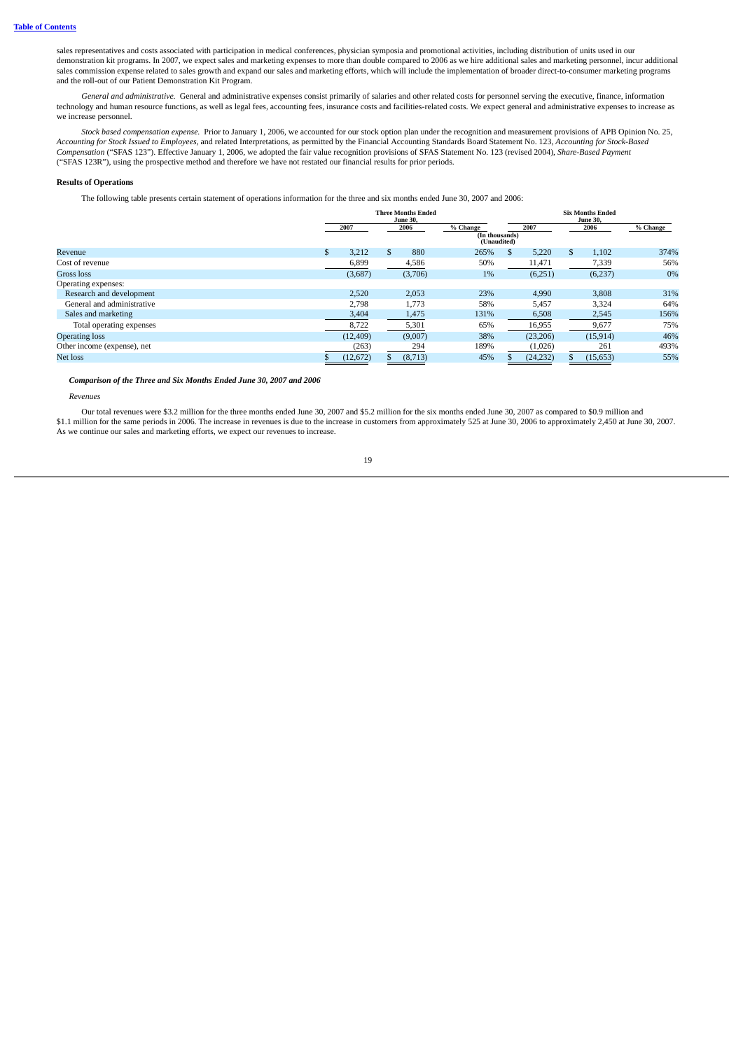sales representatives and costs associated with participation in medical conferences, physician symposia and promotional activities, including distribution of units used in our demonstration kit programs. In 2007, we expect sales and marketing expenses to more than double compared to 2006 as we hire additional sales and marketing personnel, incur additional sales commission expense related to sales growth and expand our sales and marketing efforts, which will include the implementation of broader direct-to-consumer marketing programs and the roll-out of our Patient Demonstration Kit Program.

*General and administrative.* General and administrative expenses consist primarily of salaries and other related costs for personnel serving the executive, finance, information technology and human resource functions, as well as legal fees, accounting fees, insurance costs and facilities-related costs. We expect general and administrative expenses to increase as we increase personnel.

*Stock based compensation expense.* Prior to January 1, 2006, we accounted for our stock option plan under the recognition and measurement provisions of APB Opinion No. 25, Accounting for Stock Issued to Employees, and related Interpretations, as permitted by the Financial Accounting Standards Board Statement No. 123, Accounting for Stock-Based *Compensation* ("SFAS 123"). Effective January 1, 2006, we adopted the fair value recognition provisions of SFAS Statement No. 123 (revised 2004), *Share-Based Payment* ("SFAS 123R"), using the prospective method and therefore we have not restated our financial results for prior periods.

### **Results of Operations**

The following table presents certain statement of operations information for the three and six months ended June 30, 2007 and 2006:

|                             | <b>Three Months Ended</b><br><b>June 30.</b> |           |               |         |                                           |     |           |    |           |          |
|-----------------------------|----------------------------------------------|-----------|---------------|---------|-------------------------------------------|-----|-----------|----|-----------|----------|
|                             | 2007                                         |           | 2006          |         | % Change<br>(In thousands)<br>(Unaudited) |     | 2007      |    | 2006      | % Change |
| Revenue                     | \$                                           | 3,212     | $\mathcal{S}$ | 880     | 265%                                      | \$. | 5,220     | \$ | 1,102     | 374%     |
| Cost of revenue             |                                              | 6,899     |               | 4,586   | 50%                                       |     | 11,471    |    | 7,339     | 56%      |
| Gross loss                  |                                              | (3,687)   |               | (3,706) | $1\%$                                     |     | (6,251)   |    | (6,237)   | 0%       |
| Operating expenses:         |                                              |           |               |         |                                           |     |           |    |           |          |
| Research and development    |                                              | 2,520     |               | 2,053   | 23%                                       |     | 4,990     |    | 3,808     | 31%      |
| General and administrative  |                                              | 2,798     |               | 1,773   | 58%                                       |     | 5,457     |    | 3,324     | 64%      |
| Sales and marketing         |                                              | 3,404     |               | 1,475   | 131%                                      |     | 6,508     |    | 2,545     | 156%     |
| Total operating expenses    |                                              | 8,722     |               | 5,301   | 65%                                       |     | 16,955    |    | 9,677     | 75%      |
| <b>Operating loss</b>       |                                              | (12, 409) |               | (9,007) | 38%                                       |     | (23, 206) |    | (15, 914) | 46%      |
| Other income (expense), net |                                              | (263)     |               | 294     | 189%                                      |     | (1,026)   |    | 261       | 493%     |
| Net loss                    |                                              | (12, 672) |               | (8,713) | 45%                                       |     | (24, 232) |    | (15, 653) | 55%      |

*Comparison of the Three and Six Months Ended June 30, 2007 and 2006*

*Revenues*

Our total revenues were \$3.2 million for the three months ended June 30, 2007 and \$5.2 million for the six months ended June 30, 2007 as compared to \$0.9 million and \$1.1 million for the same periods in 2006. The increase in revenues is due to the increase in customers from approximately 525 at June 30, 2006 to approximately 2,450 at June 30, 2007. As we continue our sales and marketing efforts, we expect our revenues to increase.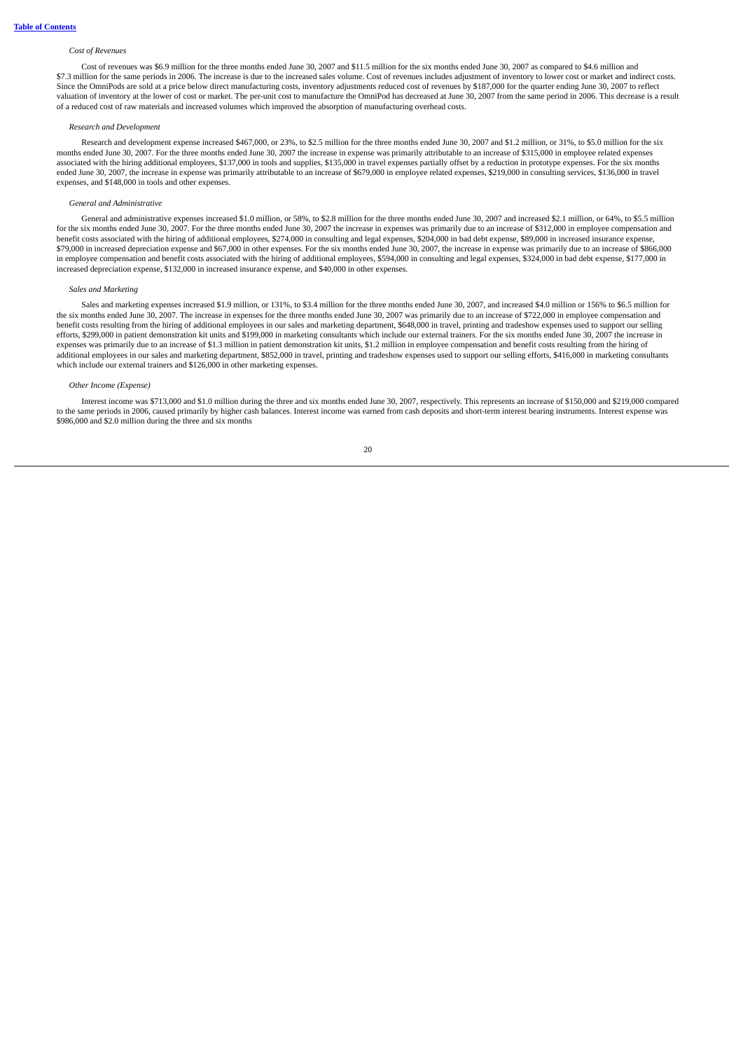### *Cost of Revenues*

Cost of revenues was \$6.9 million for the three months ended June 30, 2007 and \$11.5 million for the six months ended June 30, 2007 as compared to \$4.6 million and \$7.3 million for the same periods in 2006. The increase is due to the increased sales volume. Cost of revenues includes adjustment of inventory to lower cost or market and indirect costs. Since the OmniPods are sold at a price below direct manufacturing costs, inventory adjustments reduced cost of revenues by \$187,000 for the quarter ending June 30, 2007 to reflect valuation of inventory at the lower of cost or market. The per-unit cost to manufacture the OmniPod has decreased at June 30, 2007 from the same period in 2006. This decrease is a result of a reduced cost of raw materials and increased volumes which improved the absorption of manufacturing overhead costs.

#### *Research and Development*

Research and development expense increased \$467,000, or 23%, to \$2.5 million for the three months ended June 30, 2007 and \$1.2 million, or 31%, to \$5.0 million for the six months ended June 30, 2007. For the three months ended June 30, 2007 the increase in expense was primarily attributable to an increase of \$315,000 in employee related expenses associated with the hiring additional employees, \$137,000 in tools and supplies, \$135,000 in travel expenses partially offset by a reduction in prototype expenses. For the six months ended June 30, 2007, the increase in expense was primarily attributable to an increase of \$679,000 in employee related expenses, \$219,000 in consulting services, \$136,000 in travel expenses, and \$148,000 in tools and other expenses.

#### *General and Administrative*

General and administrative expenses increased \$1.0 million, or 58%, to \$2.8 million for the three months ended June 30, 2007 and increased \$2.1 million, or 64%, to \$5.5 million for the six months ended June 30, 2007. For the three months ended June 30, 2007 the increase in expenses was primarily due to an increase of \$312,000 in employee compensation and benefit costs associated with the hiring of additional employees, \$274,000 in consulting and legal expenses, \$204,000 in bad debt expense, \$89,000 in increased insurance expense, \$79,000 in increased depreciation expense and \$67,000 in other expenses. For the six months ended June 30, 2007, the increase in expense was primarily due to an increase of \$866,000 in employee compensation and benefit costs associated with the hiring of additional employees, \$594,000 in consulting and legal expenses, \$324,000 in bad debt expense, \$177,000 in increased depreciation expense, \$132,000 in increased insurance expense, and \$40,000 in other expenses.

#### *Sales and Marketing*

Sales and marketing expenses increased \$1.9 million, or 131%, to \$3.4 million for the three months ended June 30, 2007, and increased \$4.0 million or 156% to \$6.5 million for the six months ended June 30, 2007. The increase in expenses for the three months ended June 30, 2007 was primarily due to an increase of \$722,000 in employee compensation and benefit costs resulting from the hiring of additional employees in our sales and marketing department, \$648,000 in travel, printing and tradeshow expenses used to support our selling efforts, \$299,000 in patient demonstration kit units and \$199,000 in marketing consultants which include our external trainers. For the six months ended June 30, 2007 the increase in expenses was primarily due to an increase of \$1.3 million in patient demonstration kit units, \$1.2 million in employee compensation and benefit costs resulting from the hiring of additional employees in our sales and marketing department, \$852,000 in travel, printing and tradeshow expenses used to support our selling efforts, \$416,000 in marketing consultants which include our external trainers and \$126,000 in other marketing expenses.

#### *Other Income (Expense)*

Interest income was \$713,000 and \$1.0 million during the three and six months ended June 30, 2007, respectively. This represents an increase of \$150,000 and \$219,000 compared to the same periods in 2006, caused primarily by higher cash balances. Interest income was earned from cash deposits and short-term interest bearing instruments. Interest expense was \$986,000 and \$2.0 million during the three and six months

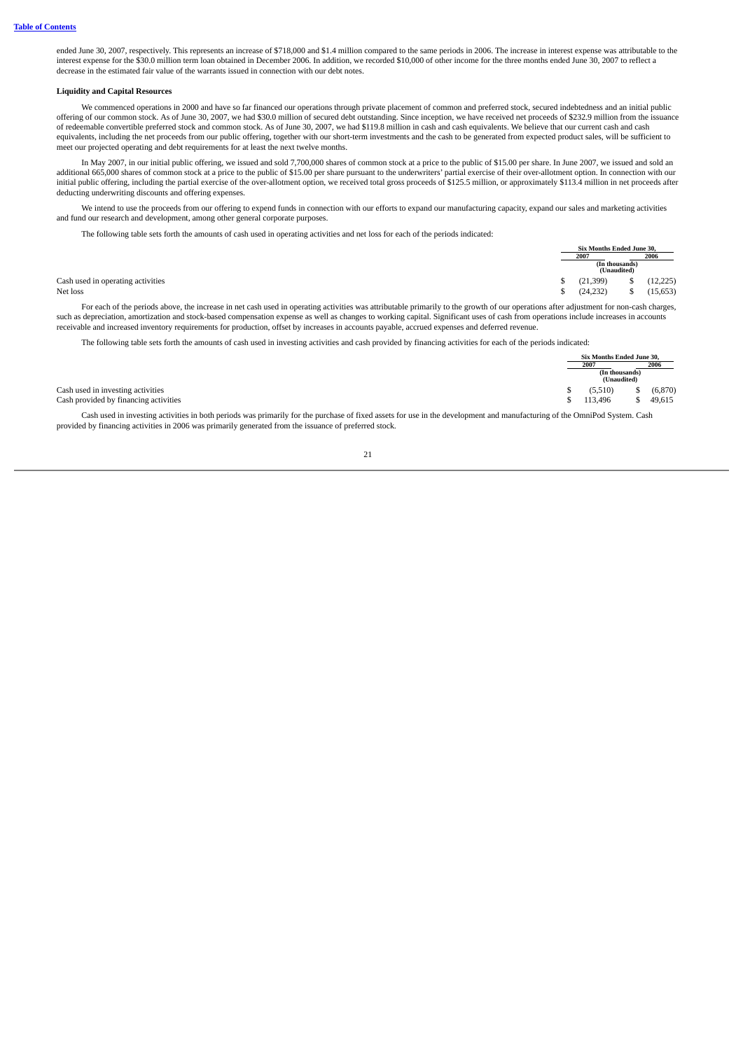ended June 30, 2007, respectively. This represents an increase of \$718,000 and \$1.4 million compared to the same periods in 2006. The increase in interest expense was attributable to the interest expense for the \$30.0 million term loan obtained in December 2006. In addition, we recorded \$10,000 of other income for the three months ended June 30, 2007 to reflect a decrease in the estimated fair value of the warrants issued in connection with our debt notes.

#### **Liquidity and Capital Resources**

We commenced operations in 2000 and have so far financed our operations through private placement of common and preferred stock, secured indebtedness and an initial public offering of our common stock. As of June 30, 2007, we had \$30.0 million of secured debt outstanding. Since inception, we have received net proceeds of \$232.9 million from the issuance of redeemable convertible preferred stock and common stock. As of June 30, 2007, we had \$119.8 million in cash and cash equivalents. We believe that our current cash and cash equivalents, including the net proceeds from our public offering, together with our short-term investments and the cash to be generated from expected product sales, will be sufficient to meet our projected operating and debt requirements for at least the next twelve months.

In May 2007, in our initial public offering, we issued and sold 7,700,000 shares of common stock at a price to the public of \$15.00 per share. In June 2007, we issued and sold an additional 665,000 shares of common stock at a price to the public of \$15.00 per share pursuant to the underwriters' partial exercise of their over-allotment option. In connection with our initial public offering, including the partial exercise of the over-allotment option, we received total gross proceeds of \$125.5 million, or approximately \$113.4 million in net proceeds after deducting underwriting discounts and offering expenses.

We intend to use the proceeds from our offering to expend funds in connection with our efforts to expand our manufacturing capacity, expand our sales and marketing activities and fund our research and development, among other general corporate purposes.

The following table sets forth the amounts of cash used in operating activities and net loss for each of the periods indicated:

|                                   |  | Six Months Ended June 30. |                               |           |
|-----------------------------------|--|---------------------------|-------------------------------|-----------|
|                                   |  | 2007                      |                               | 2006      |
|                                   |  |                           | (In thousands)<br>(Unaudited) |           |
| Cash used in operating activities |  | (21, 399)                 |                               | (12, 225) |
| Net loss                          |  | (24, 232)                 |                               | (15, 653) |

For each of the periods above, the increase in net cash used in operating activities was attributable primarily to the growth of our operations after adjustment for non-cash charges, such as depreciation, amortization and stock-based compensation expense as well as changes to working capital. Significant uses of cash from operations include increases in accounts receivable and increased inventory requirements for production, offset by increases in accounts payable, accrued expenses and deferred revenue.

The following table sets forth the amounts of cash used in investing activities and cash provided by financing activities for each of the periods indicated:

|                                       |      | Six Months Ended June 30.     |  |          |
|---------------------------------------|------|-------------------------------|--|----------|
|                                       | 2007 |                               |  | 2006     |
|                                       |      | (In thousands)<br>(Unaudited) |  |          |
| Cash used in investing activities     |      | (5.510)                       |  | (6, 870) |
| Cash provided by financing activities |      | 113.496                       |  | 49,615   |

Cash used in investing activities in both periods was primarily for the purchase of fixed assets for use in the development and manufacturing of the OmniPod System. Cash provided by financing activities in 2006 was primarily generated from the issuance of preferred stock.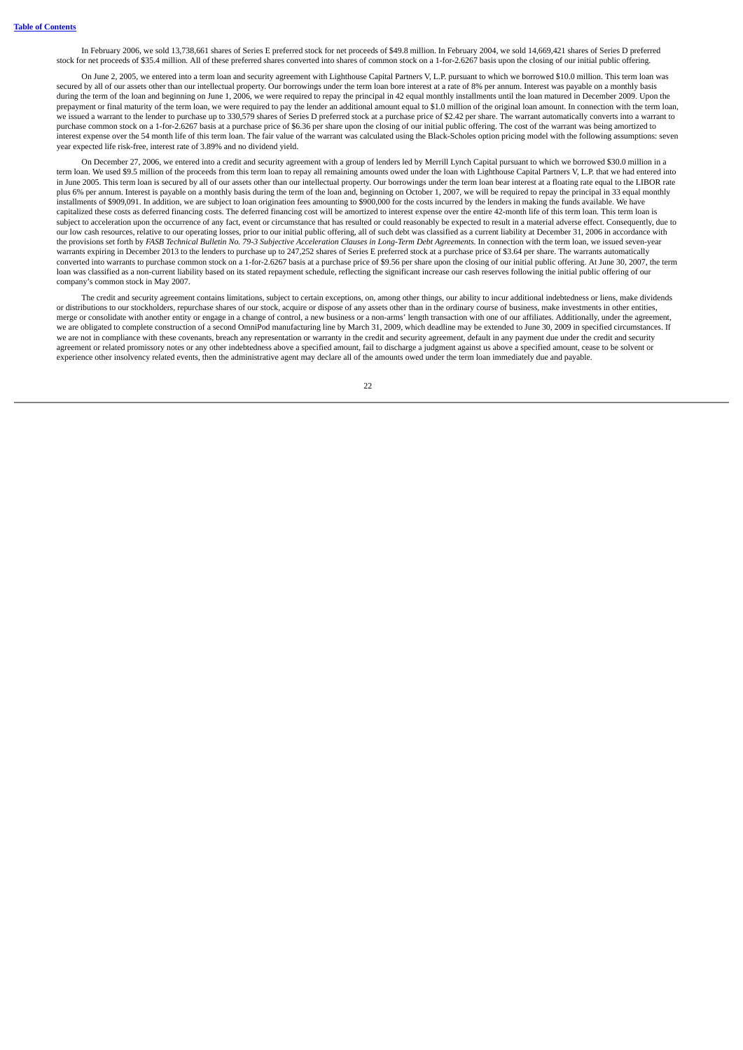In February 2006, we sold 13,738,661 shares of Series E preferred stock for net proceeds of \$49.8 million. In February 2004, we sold 14,669,421 shares of Series D preferred stock for net proceeds of \$35.4 million. All of these preferred shares converted into shares of common stock on a 1-for-2.6267 basis upon the closing of our initial public offering.

On June 2, 2005, we entered into a term loan and security agreement with Lighthouse Capital Partners V, L.P. pursuant to which we borrowed \$10.0 million. This term loan was secured by all of our assets other than our intellectual property. Our borrowings under the term loan bore interest at a rate of 8% per annum. Interest was payable on a monthly basis during the term of the loan and beginning on June 1, 2006, we were required to repay the principal in 42 equal monthly installments until the loan matured in December 2009. Upon the prepayment or final maturity of the term loan, we were required to pay the lender an additional amount equal to \$1.0 million of the original loan amount. In connection with the term loan, we issued a warrant to the lender to purchase up to 330,579 shares of Series D preferred stock at a purchase price of \$2.42 per share. The warrant automatically converts into a warrant to purchase common stock on a 1-for-2.6267 basis at a purchase price of \$6.36 per share upon the closing of our initial public offering. The cost of the warrant was being amortized to interest expense over the 54 month life of this term loan. The fair value of the warrant was calculated using the Black-Scholes option pricing model with the following assumptions: seven year expected life risk-free, interest rate of 3.89% and no dividend yield.

On December 27, 2006, we entered into a credit and security agreement with a group of lenders led by Merrill Lynch Capital pursuant to which we borrowed \$30.0 million in a term loan. We used \$9.5 million of the proceeds from this term loan to repay all remaining amounts owed under the loan with Lighthouse Capital Partners V, L.P. that we had entered into in June 2005. This term loan is secured by all of our assets other than our intellectual property. Our borrowings under the term loan bear interest at a floating rate equal to the LIBOR rate plus 6% per annum. Interest is payable on a monthly basis during the term of the loan and, beginning on October 1, 2007, we will be required to repay the principal in 33 equal monthly installments of \$909,091. In addition, we are subject to loan origination fees amounting to \$900,000 for the costs incurred by the lenders in making the funds available. We have capitalized these costs as deferred financing costs. The deferred financing cost will be amortized to interest expense over the entire 42-month life of this term loan. This term loan is subject to acceleration upon the occurrence of any fact, event or circumstance that has resulted or could reasonably be expected to result in a material adverse effect. Consequently, due to our low cash resources, relative to our operating losses, prior to our initial public offering, all of such debt was classified as a current liability at December 31, 2006 in accordance with the provisions set forth by FASB Technical Bulletin No. 79-3 Subjective Acceleration Clauses in Long-Term Debt Agreements. In connection with the term loan, we issued seven-year warrants expiring in December 2013 to the lenders to purchase up to 247,252 shares of Series E preferred stock at a purchase price of \$3.64 per share. The warrants automatically converted into warrants to purchase common stock on a 1-for-2.6267 basis at a purchase price of \$9.56 per share upon the closing of our initial public offering. At June 30, 2007, the term loan was classified as a non-current liability based on its stated repayment schedule, reflecting the significant increase our cash reserves following the initial public offering of our company's common stock in May 2007.

The credit and security agreement contains limitations, subject to certain exceptions, on, among other things, our ability to incur additional indebtedness or liens, make dividends or distributions to our stockholders, repurchase shares of our stock, acquire or dispose of any assets other than in the ordinary course of business, make investments in other entities, merge or consolidate with another entity or engage in a change of control, a new business or a non-arms' length transaction with one of our affiliates. Additionally, under the agreement, we are obligated to complete construction of a second OmniPod manufacturing line by March 31, 2009, which deadline may be extended to June 30, 2009 in specified circumstances. If we are not in compliance with these covenants, breach any representation or warranty in the credit and security agreement, default in any payment due under the credit and security agreement or related promissory notes or any other indebtedness above a specified amount, fail to discharge a judgment against us above a specified amount, cease to be solvent or experience other insolvency related events, then the administrative agent may declare all of the amounts owed under the term loan immediately due and payable.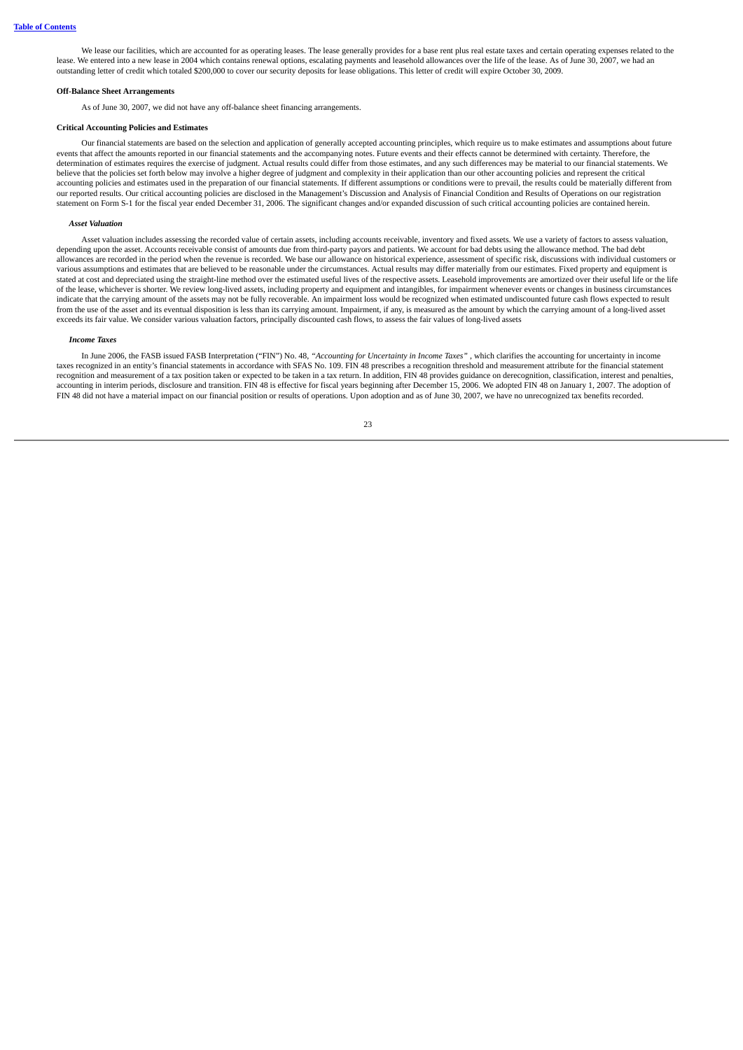We lease our facilities, which are accounted for as operating leases. The lease generally provides for a base rent plus real estate taxes and certain operating expenses related to the lease. We entered into a new lease in 2004 which contains renewal options, escalating payments and leasehold allowances over the life of the lease. As of June 30, 2007, we had an outstanding letter of credit which totaled \$200,000 to cover our security deposits for lease obligations. This letter of credit will expire October 30, 2009.

#### **Off-Balance Sheet Arrangements**

As of June 30, 2007, we did not have any off-balance sheet financing arrangements.

#### **Critical Accounting Policies and Estimates**

Our financial statements are based on the selection and application of generally accepted accounting principles, which require us to make estimates and assumptions about future events that affect the amounts reported in our financial statements and the accompanying notes. Future events and their effects cannot be determined with certainty. Therefore, the determination of estimates requires the exercise of judgment. Actual results could differ from those estimates, and any such differences may be material to our financial statements. We believe that the policies set forth below may involve a higher degree of judgment and complexity in their application than our other accounting policies and represent the critical accounting policies and estimates used in the preparation of our financial statements. If different assumptions or conditions were to prevail, the results could be materially different from our reported results. Our critical accounting policies are disclosed in the Management's Discussion and Analysis of Financial Condition and Results of Operations on our registration statement on Form S-1 for the fiscal year ended December 31, 2006. The significant changes and/or expanded discussion of such critical accounting policies are contained herein.

#### *Asset Valuation*

Asset valuation includes assessing the recorded value of certain assets, including accounts receivable, inventory and fixed assets. We use a variety of factors to assess valuation, depending upon the asset. Accounts receivable consist of amounts due from third-party payors and patients. We account for bad debts using the allowance method. The bad debt allowances are recorded in the period when the revenue is recorded. We base our allowance on historical experience, assessment of specific risk, discussions with individual customers or various assumptions and estimates that are believed to be reasonable under the circumstances. Actual results may differ materially from our estimates. Fixed property and equipment is stated at cost and depreciated using the straight-line method over the estimated useful lives of the respective assets. Leasehold improvements are amortized over their useful life or the life of the lease, whichever is shorter. We review long-lived assets, including property and equipment and intangibles, for impairment whenever events or changes in business circumstances indicate that the carrying amount of the assets may not be fully recoverable. An impairment loss would be recognized when estimated undiscounted future cash flows expected to result from the use of the asset and its eventual disposition is less than its carrying amount. Impairment, if any, is measured as the amount by which the carrying amount of a long-lived asset exceeds its fair value. We consider various valuation factors, principally discounted cash flows, to assess the fair values of long-lived assets

#### *Income Taxes*

In June 2006, the FASB issued FASB Interpretation ("FIN") No. 48, *"Accounting for Uncertainty in Income Taxes"* , which clarifies the accounting for uncertainty in income taxes recognized in an entity's financial statements in accordance with SFAS No. 109. FIN 48 prescribes a recognition threshold and measurement attribute for the financial statement recognition and measurement of a tax position taken or expected to be taken in a tax return. In addition, FIN 48 provides guidance on derecognition, classification, interest and penalties, accounting in interim periods, disclosure and transition. FIN 48 is effective for fiscal years beginning after December 15, 2006. We adopted FIN 48 on January 1, 2007. The adoption of FIN 48 did not have a material impact on our financial position or results of operations. Upon adoption and as of June 30, 2007, we have no unrecognized tax benefits recorded.

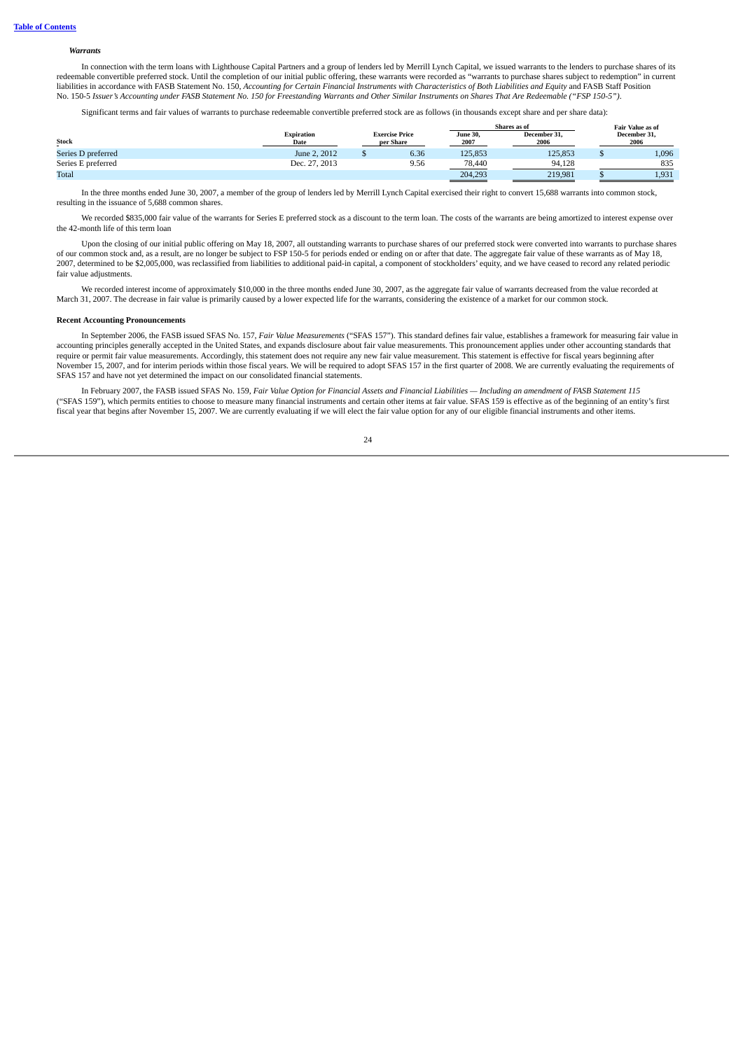#### *Warrants*

In connection with the term loans with Lighthouse Capital Partners and a group of lenders led by Merrill Lynch Capital, we issued warrants to the lenders to purchase shares of its redeemable convertible preferred stock. Until the completion of our initial public offering, these warrants were recorded as "warrants to purchase shares subject to redemption" in current liabilities in accordance with FASB Statement No. 150, Accounting for Certain Financial Instruments with Characteristics of Both Liabilities and Equity and FASB Staff Position No. 150-5 Issuer's Accounting under FASB Statement No. 150 for Freestanding Warrants and Other Similar Instruments on Shares That Are Redeemable ("FSP 150-5").

Significant terms and fair values of warrants to purchase redeemable convertible preferred stock are as follows (in thousands except share and per share data):

|                    |                           |                                    |                  | Shares as of         |                      | Fair Value as of |
|--------------------|---------------------------|------------------------------------|------------------|----------------------|----------------------|------------------|
| Stock              | <b>Expiration</b><br>Date | <b>Exercise Price</b><br>per Share | June 30,<br>2007 | December 31.<br>2006 | December 31.<br>2006 |                  |
| Series D preferred | June 2, 2012              | 6.36                               | 125,853          | 125,853              |                      | 1,096            |
| Series E preferred | Dec. 27, 2013             | 9.56                               | 78.440           | 94.128               |                      | 835              |
| Total              |                           |                                    | 204,293          | 219.981              |                      | 1.931            |

In the three months ended June 30, 2007, a member of the group of lenders led by Merrill Lynch Capital exercised their right to convert 15,688 warrants into common stock, resulting in the issuance of 5,688 common shares.

We recorded \$835,000 fair value of the warrants for Series E preferred stock as a discount to the term loan. The costs of the warrants are being amortized to interest expense over the 42-month life of this term loan

Upon the closing of our initial public offering on May 18, 2007, all outstanding warrants to purchase shares of our preferred stock were converted into warrants to purchase shares of our common stock and, as a result, are no longer be subject to FSP 150-5 for periods ended or ending on or after that date. The aggregate fair value of these warrants as of May 18, 2007, determined to be \$2,005,000, was reclassified from liabilities to additional paid-in capital, a component of stockholders' equity, and we have ceased to record any related periodic fair value adjustments.

We recorded interest income of approximately \$10,000 in the three months ended June 30, 2007, as the aggregate fair value of warrants decreased from the value recorded at March 31, 2007. The decrease in fair value is primarily caused by a lower expected life for the warrants, considering the existence of a market for our common stock.

#### **Recent Accounting Pronouncements**

In September 2006, the FASB issued SFAS No. 157, *Fair Value Measurements* ("SFAS 157"). This standard defines fair value, establishes a framework for measuring fair value in accounting principles generally accepted in the United States, and expands disclosure about fair value measurements. This pronouncement applies under other accounting standards that require or permit fair value measurements. Accordingly, this statement does not require any new fair value measurement. This statement is effective for fiscal years beginning after November 15, 2007, and for interim periods within those fiscal years. We will be required to adopt SFAS 157 in the first quarter of 2008. We are currently evaluating the requirements of SFAS 157 and have not yet determined the impact on our consolidated financial statements.

In February 2007, the FASB issued SFAS No. 159, Fair Value Option for Financial Assets and Financial Liabilities - Including an amendment of FASB Statement 115 ("SFAS 159"), which permits entities to choose to measure many financial instruments and certain other items at fair value. SFAS 159 is effective as of the beginning of an entity's first fiscal year that begins after November 15, 2007. We are currently evaluating if we will elect the fair value option for any of our eligible financial instruments and other items.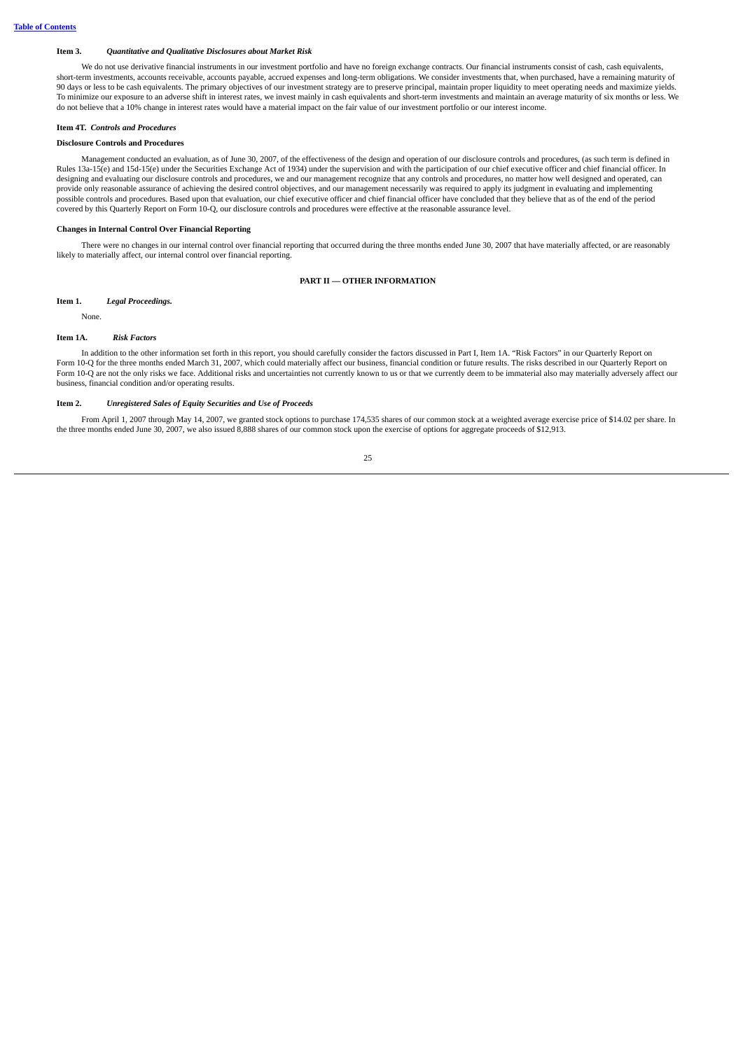### <span id="page-27-0"></span>**Item 3.** *Quantitative and Qualitative Disclosures about Market Risk*

We do not use derivative financial instruments in our investment portfolio and have no foreign exchange contracts. Our financial instruments consist of cash, cash equivalents, short-term investments, accounts receivable, accounts payable, accrued expenses and long-term obligations. We consider investments that, when purchased, have a remaining maturity of 90 days or less to be cash equivalents. The primary objectives of our investment strategy are to preserve principal, maintain proper liquidity to meet operating needs and maximize yields. To minimize our exposure to an adverse shift in interest rates, we invest mainly in cash equivalents and short-term investments and maintain an average maturity of six months or less. We do not believe that a 10% change in interest rates would have a material impact on the fair value of our investment portfolio or our interest income.

### <span id="page-27-1"></span>**Item 4T.** *Controls and Procedures*

## **Disclosure Controls and Procedures**

Management conducted an evaluation, as of June 30, 2007, of the effectiveness of the design and operation of our disclosure controls and procedures, (as such term is defined in Rules 13a-15(e) and 15d-15(e) under the Securities Exchange Act of 1934) under the supervision and with the participation of our chief executive officer and chief financial officer. In designing and evaluating our disclosure controls and procedures, we and our management recognize that any controls and procedures, no matter how well designed and operated, can provide only reasonable assurance of achieving the desired control objectives, and our management necessarily was required to apply its judgment in evaluating and implementing possible controls and procedures. Based upon that evaluation, our chief executive officer and chief financial officer have concluded that they believe that as of the end of the period covered by this Quarterly Report on Form 10-Q, our disclosure controls and procedures were effective at the reasonable assurance level.

#### **Changes in Internal Control Over Financial Reporting**

<span id="page-27-2"></span>There were no changes in our internal control over financial reporting that occurred during the three months ended June 30, 2007 that have materially affected, or are reasonably likely to materially affect, our internal control over financial reporting.

# **PART II — OTHER INFORMATION**

### <span id="page-27-3"></span>**Item 1.** *Legal Proceedings.*

None.

#### <span id="page-27-4"></span>**Item 1A.** *Risk Factors*

In addition to the other information set forth in this report, you should carefully consider the factors discussed in Part I, Item 1A. "Risk Factors" in our Quarterly Report on Form 10-Q for the three months ended March 31, 2007, which could materially affect our business, financial condition or future results. The risks described in our Quarterly Report on Form 10-Q are not the only risks we face. Additional risks and uncertainties not currently known to us or that we currently deem to be immaterial also may materially adversely affect our business, financial condition and/or operating results.

### <span id="page-27-5"></span>**Item 2.** *Unregistered Sales of Equity Securities and Use of Proceeds*

From April 1, 2007 through May 14, 2007, we granted stock options to purchase 174,535 shares of our common stock at a weighted average exercise price of \$14.02 per share. In the three months ended June 30, 2007, we also issued 8,888 shares of our common stock upon the exercise of options for aggregate proceeds of \$12,913.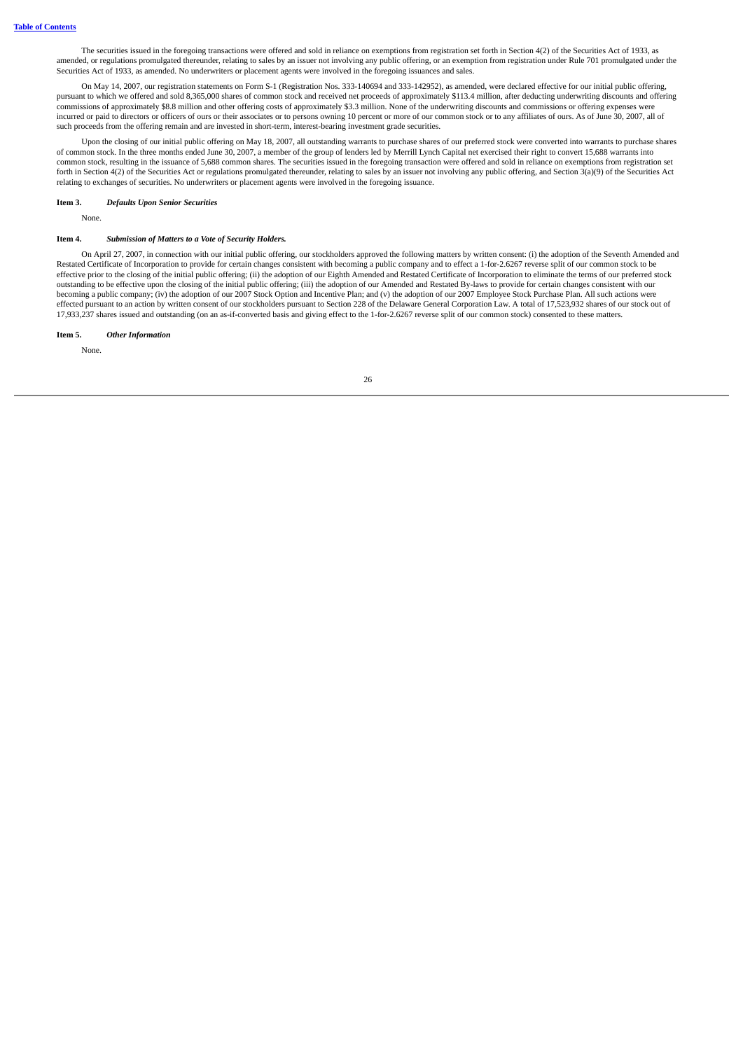The securities issued in the foregoing transactions were offered and sold in reliance on exemptions from registration set forth in Section 4(2) of the Securities Act of 1933, as amended, or regulations promulgated thereunder, relating to sales by an issuer not involving any public offering, or an exemption from registration under Rule 701 promulgated under the Securities Act of 1933, as amended. No underwriters or placement agents were involved in the foregoing issuances and sales.

On May 14, 2007, our registration statements on Form S-1 (Registration Nos. 333-140694 and 333-142952), as amended, were declared effective for our initial public offering, pursuant to which we offered and sold 8,365,000 shares of common stock and received net proceeds of approximately \$113.4 million, after deducting underwriting discounts and offering commissions of approximately \$8.8 million and other offering costs of approximately \$3.3 million. None of the underwriting discounts and commissions or offering expenses were incurred or paid to directors or officers of ours or their associates or to persons owning 10 percent or more of our common stock or to any affiliates of ours. As of June 30, 2007, all of such proceeds from the offering remain and are invested in short-term, interest-bearing investment grade securities.

Upon the closing of our initial public offering on May 18, 2007, all outstanding warrants to purchase shares of our preferred stock were converted into warrants to purchase shares of common stock. In the three months ended June 30, 2007, a member of the group of lenders led by Merrill Lynch Capital net exercised their right to convert 15,688 warrants into common stock, resulting in the issuance of 5,688 common shares. The securities issued in the foregoing transaction were offered and sold in reliance on exemptions from registration set forth in Section 4(2) of the Securities Act or regulations promulgated thereunder, relating to sales by an issuer not involving any public offering, and Section 3(a)(9) of the Securities Act relating to exchanges of securities. No underwriters or placement agents were involved in the foregoing issuance.

#### <span id="page-28-0"></span>**Item 3.** *Defaults Upon Senior Securities*

None.

# <span id="page-28-1"></span>**Item 4.** *Submission of Matters to a Vote of Security Holders.*

On April 27, 2007, in connection with our initial public offering, our stockholders approved the following matters by written consent: (i) the adoption of the Seventh Amended and Restated Certificate of Incorporation to provide for certain changes consistent with becoming a public company and to effect a 1-for-2.6267 reverse split of our common stock to be effective prior to the closing of the initial public offering; (ii) the adoption of our Eighth Amended and Restated Certificate of Incorporation to eliminate the terms of our preferred stock outstanding to be effective upon the closing of the initial public offering; (iii) the adoption of our Amended and Restated By-laws to provide for certain changes consistent with our becoming a public company; (iv) the adoption of our 2007 Stock Option and Incentive Plan; and (v) the adoption of our 2007 Employee Stock Purchase Plan. All such actions were effected pursuant to an action by written consent of our stockholders pursuant to Section 228 of the Delaware General Corporation Law. A total of 17,523,932 shares of our stock out of 17,933,237 shares issued and outstanding (on an as-if-converted basis and giving effect to the 1-for-2.6267 reverse split of our common stock) consented to these matters.

### <span id="page-28-2"></span>**Item 5.** *Other Information*

None.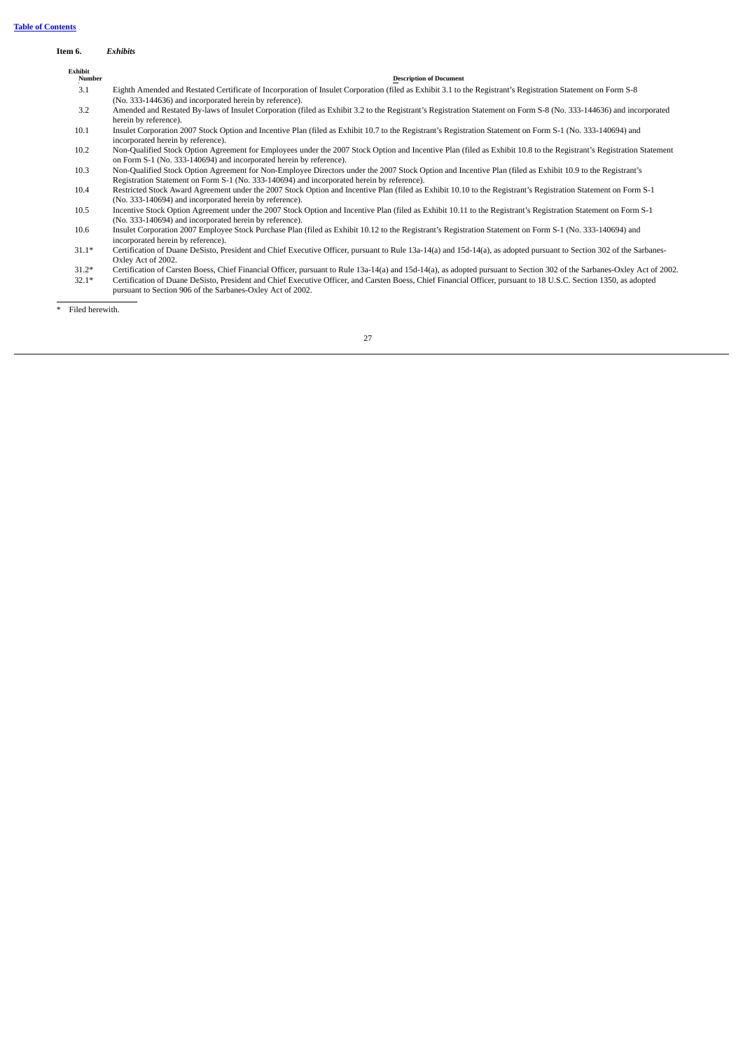## <span id="page-29-0"></span>**Item 6.** *Exhibits*

| Exhibit<br>Number | <b>Description of Document</b>                                                                                                                                                                                                                          |
|-------------------|---------------------------------------------------------------------------------------------------------------------------------------------------------------------------------------------------------------------------------------------------------|
| 3.1               | Eighth Amended and Restated Certificate of Incorporation of Insulet Corporation (filed as Exhibit 3.1 to the Registrant's Registration Statement on Form S-8<br>(No. 333-144636) and incorporated herein by reference).                                 |
| 3.2               | Amended and Restated By-laws of Insulet Corporation (filed as Exhibit 3.2 to the Registrant's Registration Statement on Form S-8 (No. 333-144636) and incorporated<br>herein by reference).                                                             |
| 10.1              | Insulet Corporation 2007 Stock Option and Incentive Plan (filed as Exhibit 10.7 to the Registrant's Registration Statement on Form S-1 (No. 333-140694) and<br>incorporated herein by reference).                                                       |
| 10.2              | Non-Qualified Stock Option Agreement for Employees under the 2007 Stock Option and Incentive Plan (filed as Exhibit 10.8 to the Registrant's Registration Statement<br>on Form S-1 (No. 333-140694) and incorporated herein by reference).              |
| 10.3              | Non-Qualified Stock Option Agreement for Non-Employee Directors under the 2007 Stock Option and Incentive Plan (filed as Exhibit 10.9 to the Registrant's<br>Registration Statement on Form S-1 (No. 333-140694) and incorporated herein by reference). |
| 10.4              | Restricted Stock Award Agreement under the 2007 Stock Option and Incentive Plan (filed as Exhibit 10.10 to the Registrant's Registration Statement on Form S-1<br>(No. 333-140694) and incorporated herein by reference).                               |
| 10.5              | Incentive Stock Option Agreement under the 2007 Stock Option and Incentive Plan (filed as Exhibit 10.11 to the Registrant's Registration Statement on Form S-1<br>(No. 333-140694) and incorporated herein by reference).                               |
| 10.6              | Insulet Corporation 2007 Employee Stock Purchase Plan (filed as Exhibit 10.12 to the Registrant's Registration Statement on Form S-1 (No. 333-140694) and<br>incorporated herein by reference).                                                         |

- 31.1\* Certification of Duane DeSisto, President and Chief Executive Officer, pursuant to Rule 13a-14(a) and 15d-14(a), as adopted pursuant to Section 302 of the Sarbanes-Oxley Act of 2002.
- 31.2\* Certification of Carsten Boess, Chief Financial Officer, pursuant to Rule 13a-14(a) and 15d-14(a), as adopted pursuant to Section 302 of the Sarbanes-Oxley Act of 2002. 32.1\* Certification of Duane DeSisto, President and Chief Executive Officer, and Carsten Boess, Chief Financial Officer, pursuant to 18 U.S.C. Section 1350, as adopted pursuant to Section 906 of the Sarbanes-Oxley Act of 2002.

\* Filed herewith.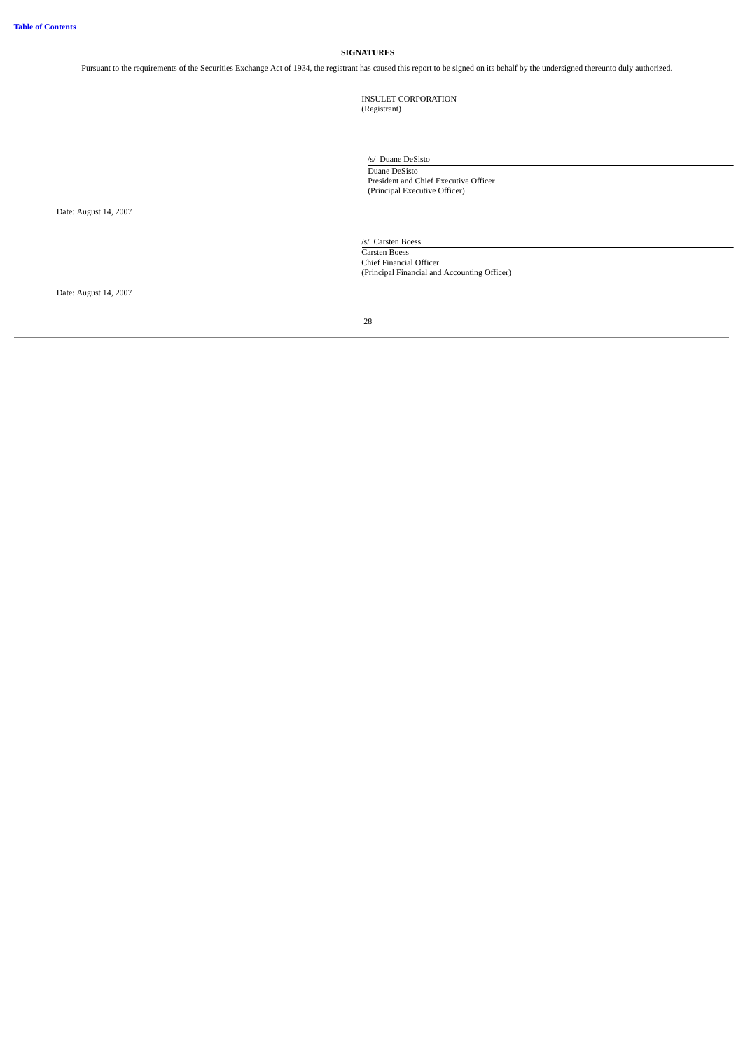# **SIGNATURES**

<span id="page-30-0"></span>Pursuant to the requirements of the Securities Exchange Act of 1934, the registrant has caused this report to be signed on its behalf by the undersigned thereunto duly authorized.

INSULET CORPORATION (Registrant)

/s/ Duane DeSisto Duane DeSisto President and Chief Executive Officer (Principal Executive Officer)

/s/ Carsten Boess Carsten Boess Chief Financial Officer (Principal Financial and Accounting Officer)

Date: August 14, 2007

Date: August 14, 2007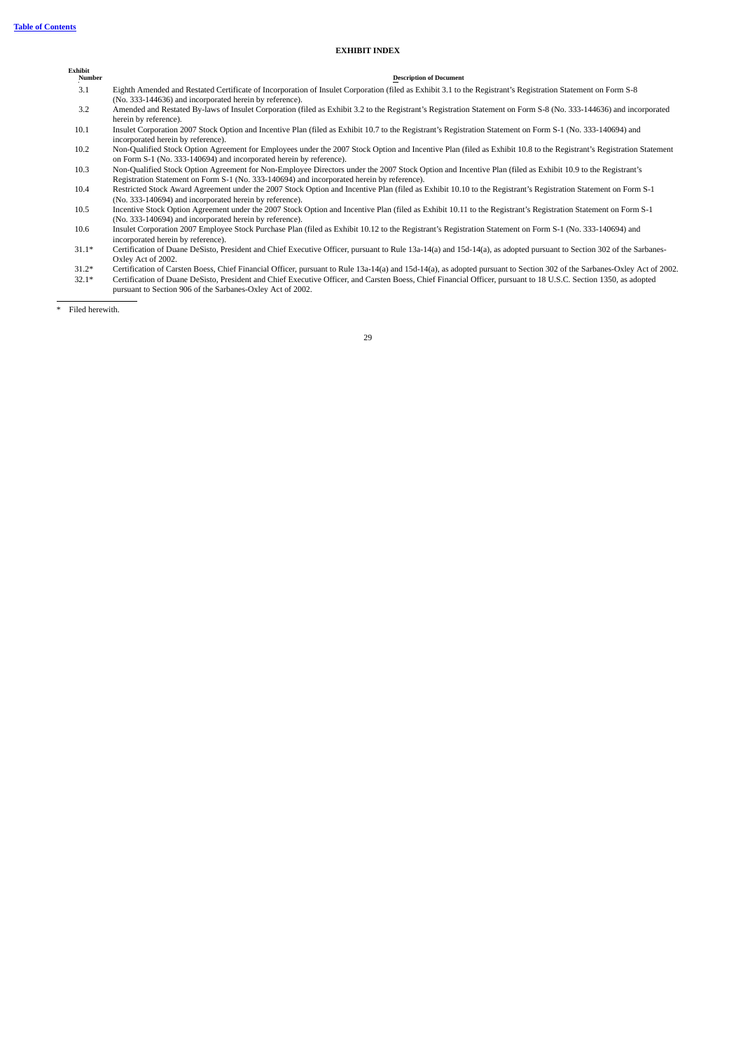### **EXHIBIT INDEX**

# **Exhibit**

**Description** of **Document** 3.1 Eighth Amended and Restated Certificate of Incorporation of Insulet Corporation (filed as Exhibit 3.1 to the Registrant's Registration Statement on Form S-8

- (No. 333-144636) and incorporated herein by reference).
- 3.2 Amended and Restated By-laws of Insulet Corporation (filed as Exhibit 3.2 to the Registrant's Registration Statement on Form S-8 (No. 333-144636) and incorporated herein by reference).
- 10.1 Insulet Corporation 2007 Stock Option and Incentive Plan (filed as Exhibit 10.7 to the Registrant's Registration Statement on Form S-1 (No. 333-140694) and incorporated herein by reference).
- 10.2 Non-Qualified Stock Option Agreement for Employees under the 2007 Stock Option and Incentive Plan (filed as Exhibit 10.8 to the Registrant's Registration Statement on Form S-1 (No. 333-140694) and incorporated herein by reference).
- 10.3 Non-Qualified Stock Option Agreement for Non-Employee Directors under the 2007 Stock Option and Incentive Plan (filed as Exhibit 10.9 to the Registrant's Registration Statement on Form S-1 (No. 333-140694) and incorporated herein by reference).
- 10.4 Restricted Stock Award Agreement under the 2007 Stock Option and Incentive Plan (filed as Exhibit 10.10 to the Registrant's Registration Statement on Form S-1 (No. 333-140694) and incorporated herein by reference).
- 10.5 Incentive Stock Option Agreement under the 2007 Stock Option and Incentive Plan (filed as Exhibit 10.11 to the Registrant's Registration Statement on Form S-1 (No. 333-140694) and incorporated herein by reference).
- 10.6 Insulet Corporation 2007 Employee Stock Purchase Plan (filed as Exhibit 10.12 to the Registrant's Registration Statement on Form S-1 (No. 333-140694) and incorporated herein by reference).
- 31.1\* Certification of Duane DeSisto, President and Chief Executive Officer, pursuant to Rule 13a-14(a) and 15d-14(a), as adopted pursuant to Section 302 of the Sarbanes-Oxley Act of 2002.
- 31.2\* Certification of Carsten Boess, Chief Financial Officer, pursuant to Rule 13a-14(a) and 15d-14(a), as adopted pursuant to Section 302 of the Sarbanes-Oxley Act of 2002. 32.1\* Certification of Duane DeSisto, President and Chief Executive Officer, and Carsten Boess, Chief Financial Officer, pursuant to 18 U.S.C. Section 1350, as adopted
- pursuant to Section 906 of the Sarbanes-Oxley Act of 2002.

\* Filed herewith.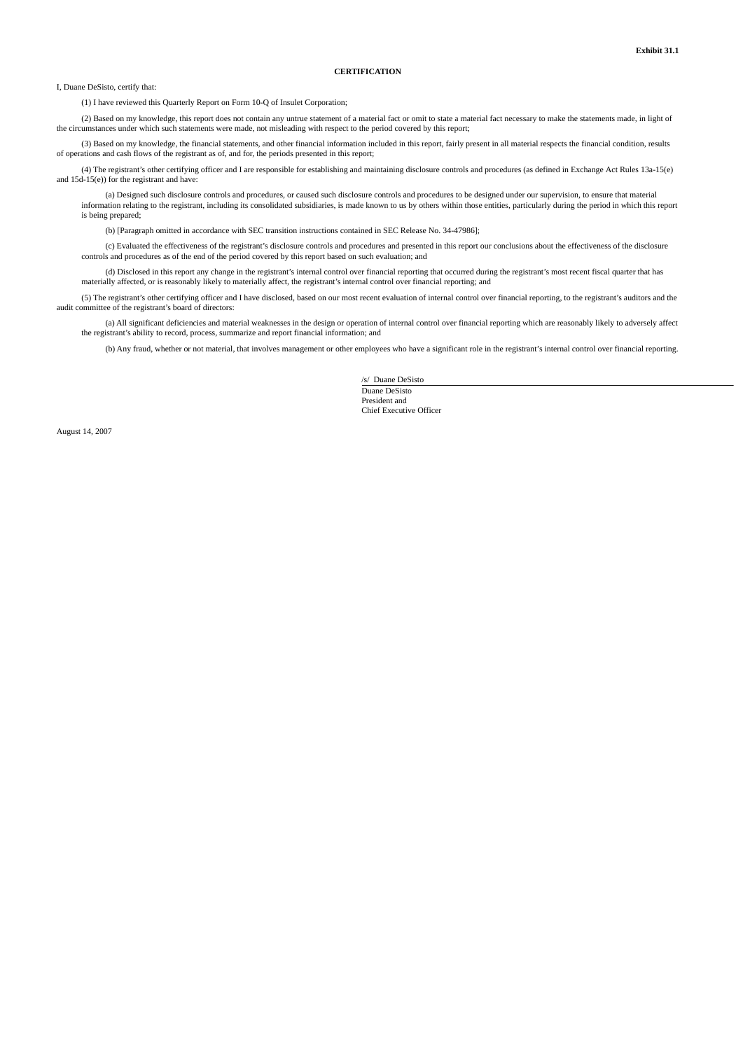### **CERTIFICATION**

I, Duane DeSisto, certify that:

(1) I have reviewed this Quarterly Report on Form 10-Q of Insulet Corporation;

(2) Based on my knowledge, this report does not contain any untrue statement of a material fact or omit to state a material fact necessary to make the statements made, in light of the circumstances under which such statements were made, not misleading with respect to the period covered by this report;

(3) Based on my knowledge, the financial statements, and other financial information included in this report, fairly present in all material respects the financial condition, results of operations and cash flows of the registrant as of, and for, the periods presented in this report;

(4) The registrant's other certifying officer and I are responsible for establishing and maintaining disclosure controls and procedures (as defined in Exchange Act Rules 13a-15(e) and 15d-15(e)) for the registrant and have:

(a) Designed such disclosure controls and procedures, or caused such disclosure controls and procedures to be designed under our supervision, to ensure that material information relating to the registrant, including its consolidated subsidiaries, is made known to us by others within those entities, particularly during the period in which this report is being prepared;

(b) [Paragraph omitted in accordance with SEC transition instructions contained in SEC Release No. 34-47986];

(c) Evaluated the effectiveness of the registrant's disclosure controls and procedures and presented in this report our conclusions about the effectiveness of the disclosure controls and procedures as of the end of the period covered by this report based on such evaluation; and

(d) Disclosed in this report any change in the registrant's internal control over financial reporting that occurred during the registrant's most recent fiscal quarter that has materially affected, or is reasonably likely to materially affect, the registrant's internal control over financial reporting; and

(5) The registrant's other certifying officer and I have disclosed, based on our most recent evaluation of internal control over financial reporting, to the registrant's auditors and the audit committee of the registrant's board of directors:

(a) All significant deficiencies and material weaknesses in the design or operation of internal control over financial reporting which are reasonably likely to adversely affect the registrant's ability to record, process, summarize and report financial information; and

(b) Any fraud, whether or not material, that involves management or other employees who have a significant role in the registrant's internal control over financial reporting.

/s/ Duane DeSisto Duane DeSisto President and Chief Executive Officer

August 14, 2007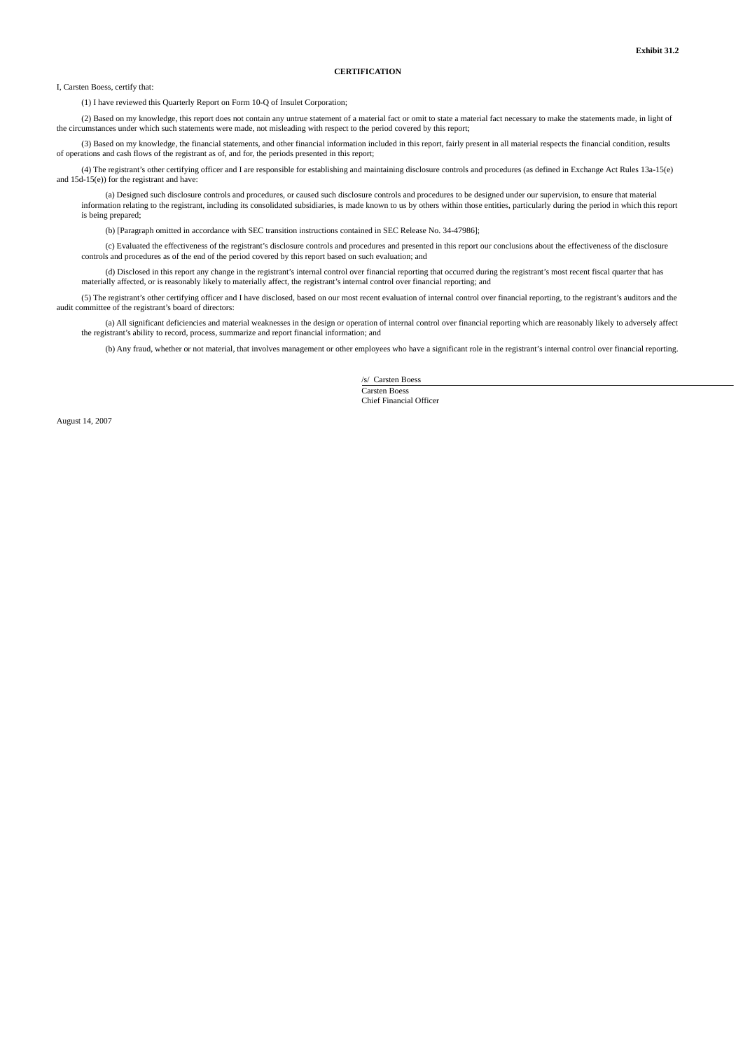### **CERTIFICATION**

I, Carsten Boess, certify that:

(1) I have reviewed this Quarterly Report on Form 10-Q of Insulet Corporation;

(2) Based on my knowledge, this report does not contain any untrue statement of a material fact or omit to state a material fact necessary to make the statements made, in light of the circumstances under which such statements were made, not misleading with respect to the period covered by this report;

(3) Based on my knowledge, the financial statements, and other financial information included in this report, fairly present in all material respects the financial condition, results of operations and cash flows of the registrant as of, and for, the periods presented in this report;

(4) The registrant's other certifying officer and I are responsible for establishing and maintaining disclosure controls and procedures (as defined in Exchange Act Rules 13a-15(e) and 15d-15(e)) for the registrant and have:

(a) Designed such disclosure controls and procedures, or caused such disclosure controls and procedures to be designed under our supervision, to ensure that material information relating to the registrant, including its consolidated subsidiaries, is made known to us by others within those entities, particularly during the period in which this report is being prepared;

(b) [Paragraph omitted in accordance with SEC transition instructions contained in SEC Release No. 34-47986];

(c) Evaluated the effectiveness of the registrant's disclosure controls and procedures and presented in this report our conclusions about the effectiveness of the disclosure controls and procedures as of the end of the period covered by this report based on such evaluation; and

(d) Disclosed in this report any change in the registrant's internal control over financial reporting that occurred during the registrant's most recent fiscal quarter that has materially affected, or is reasonably likely to materially affect, the registrant's internal control over financial reporting; and

(5) The registrant's other certifying officer and I have disclosed, based on our most recent evaluation of internal control over financial reporting, to the registrant's auditors and the audit committee of the registrant's board of directors:

(a) All significant deficiencies and material weaknesses in the design or operation of internal control over financial reporting which are reasonably likely to adversely affect the registrant's ability to record, process, summarize and report financial information; and

(b) Any fraud, whether or not material, that involves management or other employees who have a significant role in the registrant's internal control over financial reporting.

/s/ Carsten Boess Carsten Boess

Chief Financial Officer

August 14, 2007